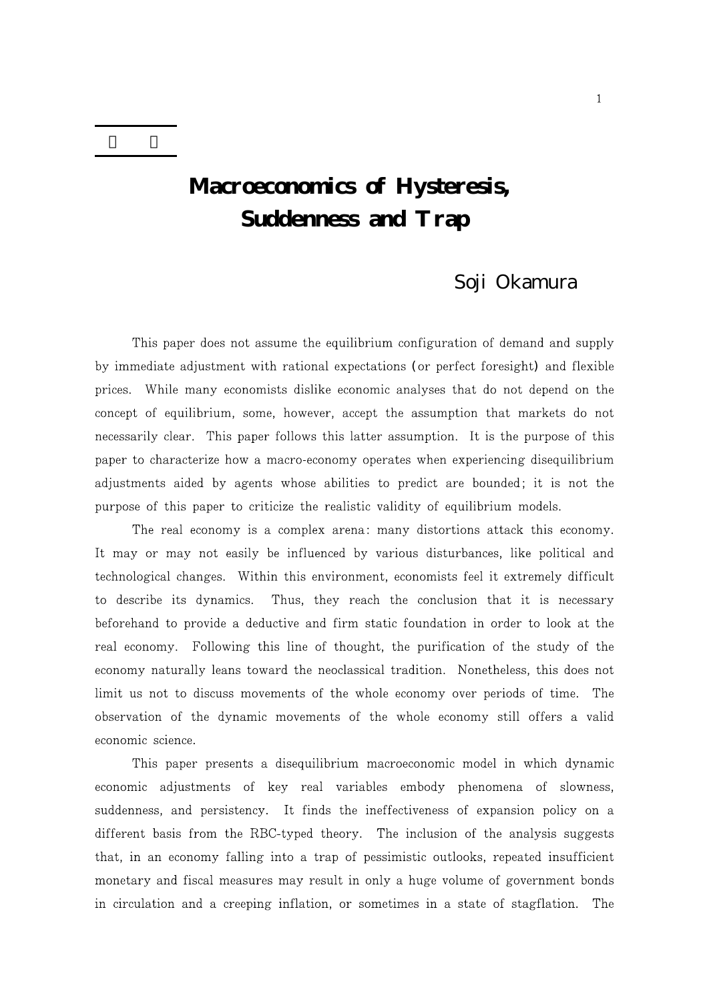# **Macroeconomics of Hysteresis, Suddenness and Trap**

# Soji Okamura

This paper does not assume the equilibrium configuration of demand and supply by immediate adjustment with rational expectations (or perfect foresight) and flexible prices. While many economists dislike economic analyses that do not depend on the concept of equilibrium, some, however, accept the assumption that markets do not necessarily clear. This paper follows this latter assumption. It is the purpose of this paper to characterize how a macro-economy operates when experiencing disequilibrium adjustments aided by agents whose abilities to predict are bounded; it is not the purpose of this paper to criticize the realistic validity of equilibrium models.

The real economy is a complex arena: many distortions attack this economy. It may or may not easily be influenced by various disturbances, like political and technological changes. Within this environment, economists feel it extremely difficult to describe its dynamics. Thus, they reach the conclusion that it is necessary beforehand to provide a deductive and firm static foundation in order to look at the real economy. Following this line of thought, the purification of the study of the economy naturally leans toward the neoclassical tradition. Nonetheless, this does not limit us not to discuss movements of the whole economy over periods of time. The observation of the dynamic movements of the whole economy still offers a valid economic science.

This paper presents a disequilibrium macroeconomic model in which dynamic economic adjustments of key real variables embody phenomena of slowness, suddenness, and persistency. It finds the ineffectiveness of expansion policy on a different basis from the RBC-typed theory. The inclusion of the analysis suggests that, in an economy falling into a trap of pessimistic outlooks, repeated insufficient monetary and fiscal measures may result in only a huge volume of government bonds in circulation and a creeping inflation, or sometimes in a state of stagflation. The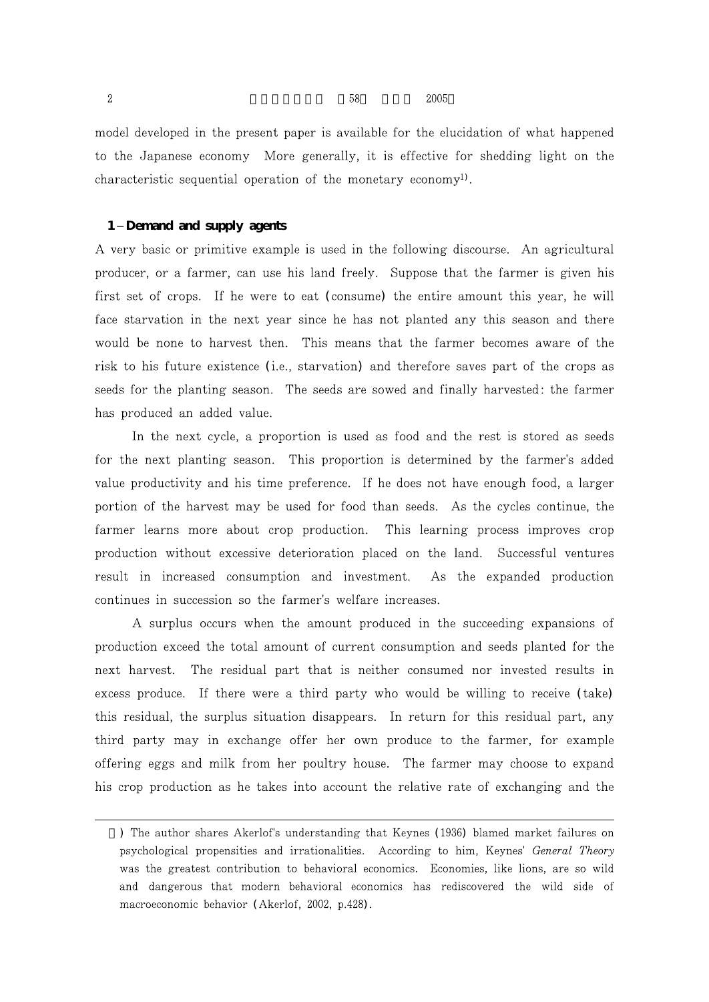$2005$ 

model developed in the present paper is available for the elucidation of what happened to the Japanese economy More generally, it is effective for shedding light on the characteristic sequential operation of the monetary economy<sup>1)</sup>.

# **1 Demand and supply agents**

A very basic or primitive example is used in the following discourse. An agricultural producer, or a farmer, can use his land freely. Suppose that the farmer is given his first set of crops. If he were to eat (consume) the entire amount this year, he will face starvation in the next year since he has not planted any this season and there would be none to harvest then. This means that the farmer becomes aware of the risk to his future existence (i.e., starvation) and therefore saves part of the crops as seeds for the planting season. The seeds are sowed and finally harvested: the farmer has produced an added value.

In the next cycle, a proportion is used as food and the rest is stored as seeds for the next planting season. This proportion is determined by the farmer's added value productivity and his time preference. If he does not have enough food, a larger portion of the harvest may be used for food than seeds. As the cycles continue, the farmer learns more about crop production. This learning process improves crop production without excessive deterioration placed on the land. Successful ventures result in increased consumption and investment. As the expanded production continues in succession so the farmer's welfare increases.

A surplus occurs when the amount produced in the succeeding expansions of production exceed the total amount of current consumption and seeds planted for the next harvest. The residual part that is neither consumed nor invested results in excess produce. If there were a third party who would be willing to receive (take) this residual, the surplus situation disappears. In return for this residual part, any third party may in exchange offer her own produce to the farmer, for example offering eggs and milk from her poultry house. The farmer may choose to expand his crop production as he takes into account the relative rate of exchanging and the

<sup>)</sup> The author shares Akerlof's understanding that Keynes (1936) blamed market failures on psychological propensities and irrationalities. According to him, Keynes' General Theory was the greatest contribution to behavioral economics. Economies, like lions, are so wild and dangerous that modern behavioral economics has rediscovered the wild side of macroeconomic behavior (Akerlof, 2002, p.428).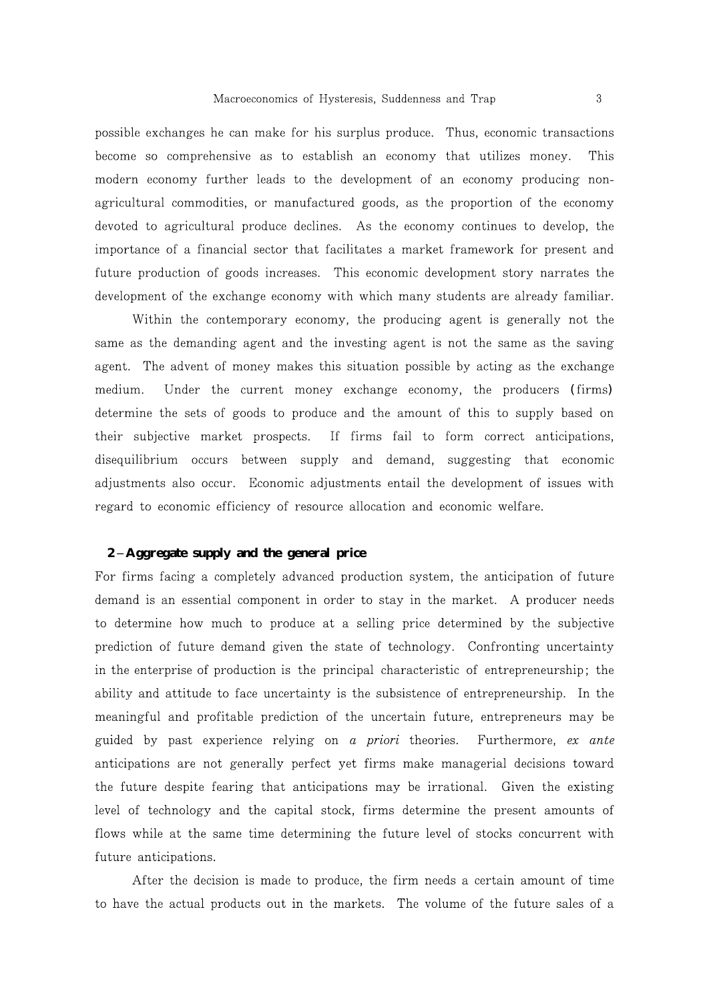possible exchanges he can make for his surplus produce. Thus, economic transactions become so comprehensive as to establish an economy that utilizes money. This modern economy further leads to the development of an economy producing nonagricultural commodities, or manufactured goods, as the proportion of the economy devoted to agricultural produce declines. As the economy continues to develop, the importance of a financial sector that facilitates a market framework for present and future production of goods increases. This economic development story narrates the development of the exchange economy with which many students are already familiar.

Within the contemporary economy, the producing agent is generally not the same as the demanding agent and the investing agent is not the same as the saving agent. The advent of money makes this situation possible by acting as the exchange medium. Under the current money exchange economy, the producers (firms) determine the sets of goods to produce and the amount of this to supply based on their subjective market prospects. If firms fail to form correct anticipations, disequilibrium occurs between supply and demand, suggesting that economic adjustments also occur. Economic adjustments entail the development of issues with regard to economic efficiency of resource allocation and economic welfare.

# **2 Aggregate supply and the general price**

For firms facing a completely advanced production system, the anticipation of future demand is an essential component in order to stay in the market. A producer needs to determine how much to produce at a selling price determined by the subjective prediction of future demand given the state of technology. Confronting uncertainty in the enterprise of production is the principal characteristic of entrepreneurship; the ability and attitude to face uncertainty is the subsistence of entrepreneurship. In the meaningful and profitable prediction of the uncertain future, entrepreneurs may be guided by past experience relying on a priori theories. Furthermore, ex ante anticipations are not generally perfect yet firms make managerial decisions toward the future despite fearing that anticipations may be irrational. Given the existing level of technology and the capital stock, firms determine the present amounts of flows while at the same time determining the future level of stocks concurrent with future anticipations.

After the decision is made to produce, the firm needs a certain amount of time to have the actual products out in the markets. The volume of the future sales of a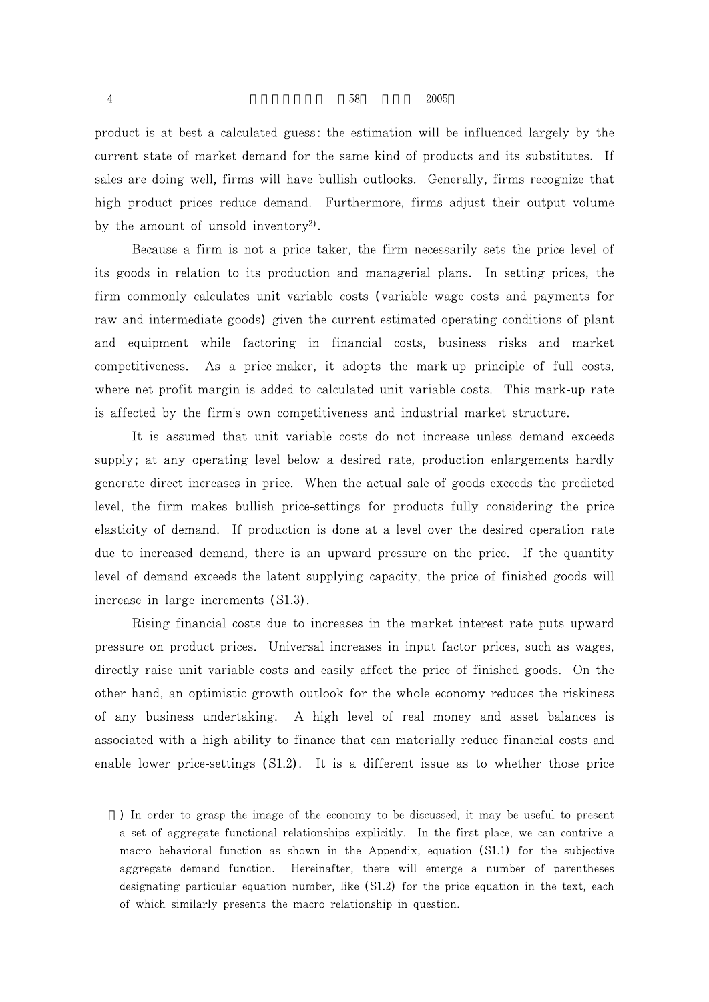product is at best a calculated guess: the estimation will be influenced largely by the current state of market demand for the same kind of products and its substitutes. If sales are doing well, firms will have bullish outlooks. Generally, firms recognize that high product prices reduce demand. Furthermore, firms adjust their output volume by the amount of unsold inventory<sup>2</sup>.

Because a firm is not a price taker, the firm necessarily sets the price level of its goods in relation to its production and managerial plans. In setting prices, the firm commonly calculates unit variable costs (variable wage costs and payments for raw and intermediate goods) given the current estimated operating conditions of plant and equipment while factoring in financial costs, business risks and market competitiveness. As a price-maker, it adopts the mark-up principle of full costs, where net profit margin is added to calculated unit variable costs. This mark-up rate is affected by the firm's own competitiveness and industrial market structure.

It is assumed that unit variable costs do not increase unless demand exceeds supply; at any operating level below a desired rate, production enlargements hardly generate direct increases in price. When the actual sale of goods exceeds the predicted level, the firm makes bullish price-settings for products fully considering the price elasticity of demand. If production is done at a level over the desired operation rate due to increased demand, there is an upward pressure on the price. If the quantity level of demand exceeds the latent supplying capacity, the price of finished goods will increase in large increments  $(S1.3)$ .

Rising financial costs due to increases in the market interest rate puts upward pressure on product prices. Universal increases in input factor prices, such as wages, directly raise unit variable costs and easily affect the price of finished goods. On the other hand, an optimistic growth outlook for the whole economy reduces the riskiness of any business undertaking. A high level of real money and asset balances is associated with a high ability to finance that can materially reduce financial costs and enable lower price-settings (S1.2). It is a different issue as to whether those price

<sup>)</sup> In order to grasp the image of the economy to be discussed, it may be useful to present a set of aggregate functional relationships explicitly. In the first place, we can contrive a macro behavioral function as shown in the Appendix, equation (S1.1) for the subjective aggregate demand function. Hereinafter, there will emerge a number of parentheses designating particular equation number, like (S1.2) for the price equation in the text, each of which similarly presents the macro relationship in question.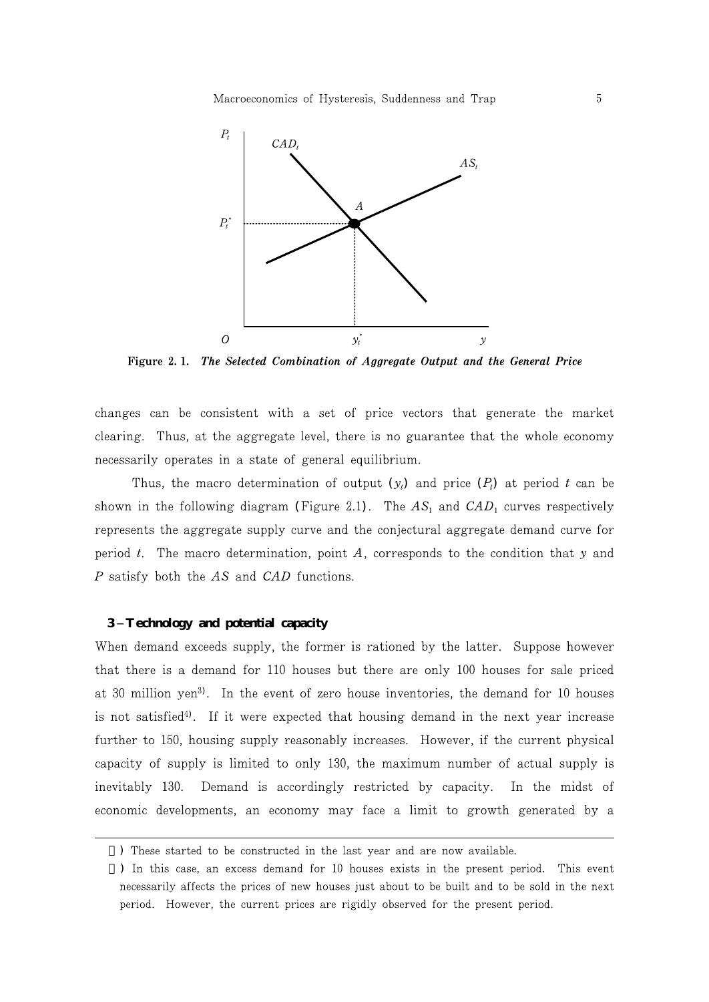

Figure 2.1. The Selected Combination of Aggregate Output and the General Price

changes can be consistent with a set of price vectors that generate the market clearing. Thus, at the aggregate level, there is no guarantee that the whole economy necessarily operates in a state of general equilibrium.

Thus, the macro determination of output  $(y_i)$  and price  $(P_i)$  at period t can be shown in the following diagram (Figure 2.1). The  $AS_1$  and  $CAD_1$  curves respectively represents the aggregate supply curve and the conjectural aggregate demand curve for period t. The macro determination, point  $A$ , corresponds to the condition that y and P satisfy both the AS and CAD functions.

# **3 Technology and potential capacity**

When demand exceeds supply, the former is rationed by the latter. Suppose however that there is a demand for 110 houses but there are only 100 houses for sale priced at 30 million yen<sup>3</sup>). In the event of zero house inventories, the demand for 10 houses is not satisfied<sup>4</sup>). If it were expected that housing demand in the next year increase further to 150, housing supply reasonably increases. However, if the current physical capacity of supply is limited to only 130, the maximum number of actual supply is inevitably 130. Demand is accordingly restricted by capacity. In the midst of economic developments, an economy may face a limit to growth generated by a

<sup>)</sup> These started to be constructed in the last year and are now available.

<sup>)</sup> In this case, an excess demand for 10 houses exists in the present period. This event necessarily affects the prices of new houses just about to be built and to be sold in the next period. However, the current prices are rigidly observed for the present period.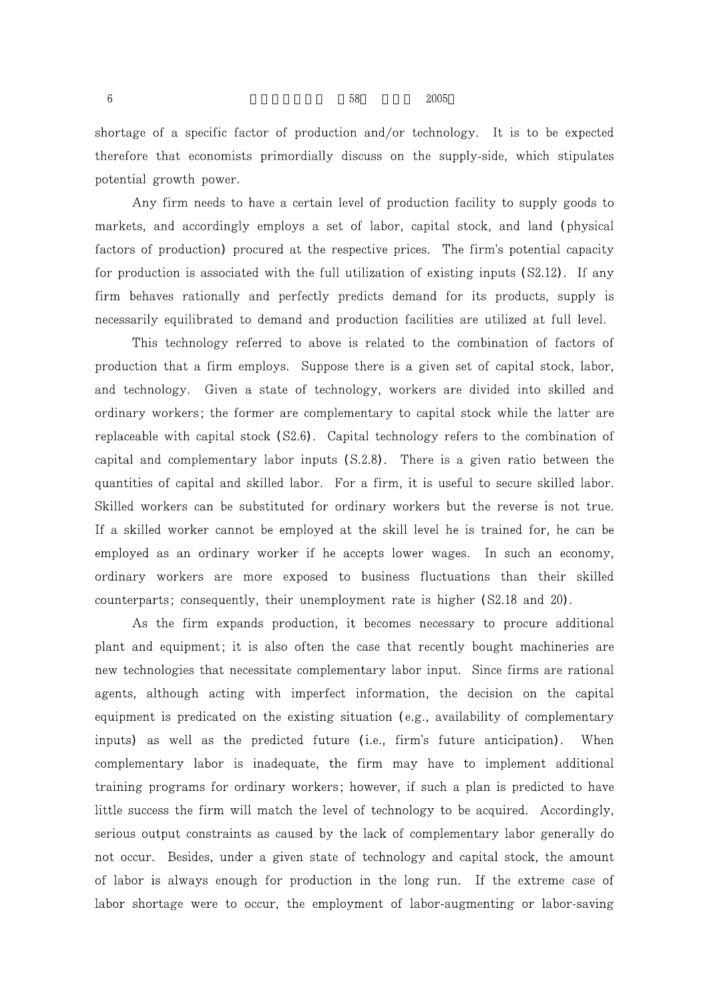shortage of a specific factor of production and/or technology. It is to be expected therefore that economists primordially discuss on the supply-side, which stipulates potential growth power.

Any firm needs to have a certain level of production facility to supply goods to markets, and accordingly employs a set of labor, capital stock, and land (physical factors of production) procured at the respective prices. The firm's potential capacity for production is associated with the full utilization of existing inputs (S2.12). If any firm behaves rationally and perfectly predicts demand for its products, supply is necessarily equilibrated to demand and production facilities are utilized at full level.

This technology referred to above is related to the combination of factors of production that a firm employs. Suppose there is a given set of capital stock, labor, and technology. Given a state of technology, workers are divided into skilled and ordinary workers; the former are complementary to capital stock while the latter are replaceable with capital stock (S2.6). Capital technology refers to the combination of capital and complementary labor inputs  $(S.2.8)$ . There is a given ratio between the quantities of capital and skilled labor. For a firm, it is useful to secure skilled labor. Skilled workers can be substituted for ordinary workers but the reverse is not true. If a skilled worker cannot be employed at the skill level he is trained for, he can be employed as an ordinary worker if he accepts lower wages. In such an economy, ordinary workers are more exposed to business fluctuations than their skilled counterparts; consequently, their unemployment rate is higher (S2.18 and 20).

As the firm expands production, it becomes necessary to procure additional plant and equipment; it is also often the case that recently bought machineries are new technologies that necessitate complementary labor input. Since firms are rational agents, although acting with imperfect information, the decision on the capital equipment is predicated on the existing situation (e.g., availability of complementary inputs) as well as the predicted future (i.e., firm's future anticipation). When complementary labor is inadequate, the firm may have to implement additional training programs for ordinary workers; however, if such a plan is predicted to have little success the firm will match the level of technology to be acquired. Accordingly, serious output constraints as caused by the lack of complementary labor generally do not occur. Besides, under a given state of technology and capital stock, the amount of labor is always enough for production in the long run. If the extreme case of labor shortage were to occur, the employment of labor-augmenting or labor-saving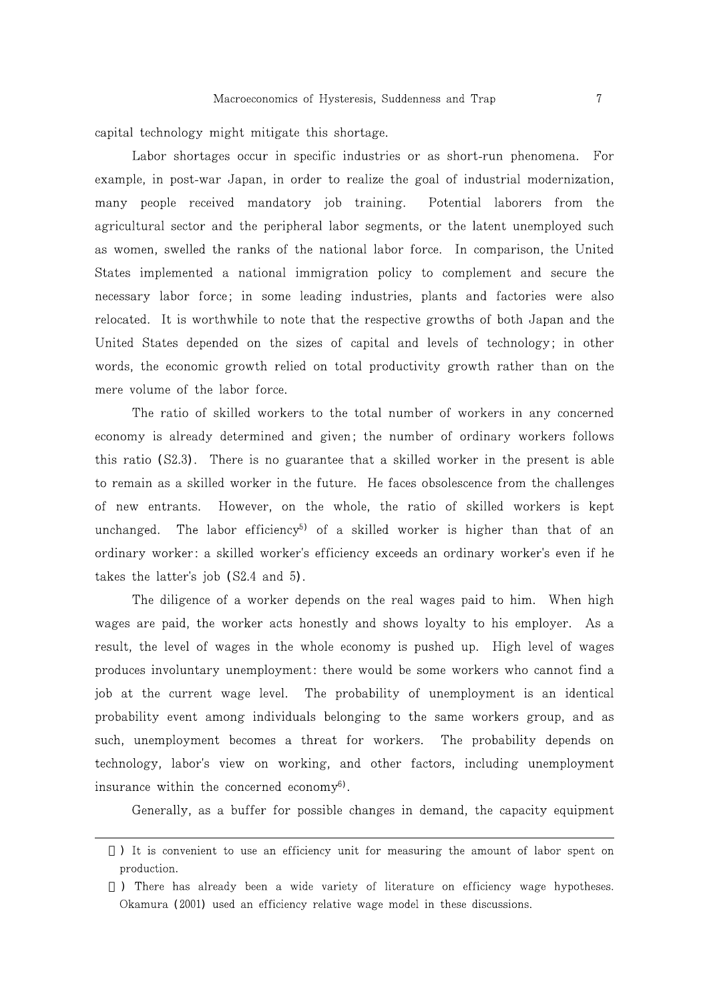capital technology might mitigate this shortage.

Labor shortages occur in specific industries or as short-run phenomena. For example, in post-war Japan, in order to realize the goal of industrial modernization, many people received mandatory job training. Potential laborers from the agricultural sector and the peripheral labor segments, or the latent unemployed such as women, swelled the ranks of the national labor force. In comparison, the United States implemented a national immigration policy to complement and secure the necessary labor force; in some leading industries, plants and factories were also relocated. It is worthwhile to note that the respective growths of both Japan and the United States depended on the sizes of capital and levels of technology; in other words, the economic growth relied on total productivity growth rather than on the mere volume of the labor force.

The ratio of skilled workers to the total number of workers in any concerned economy is already determined and given; the number of ordinary workers follows this ratio (S2.3). There is no guarantee that a skilled worker in the present is able to remain as a skilled worker in the future. He faces obsolescence from the challenges However, on the whole, the ratio of skilled workers is kept of new entrants. unchanged. The labor efficiency<sup>5</sup> of a skilled worker is higher than that of an ordinary worker: a skilled worker's efficiency exceeds an ordinary worker's even if he takes the latter's job  $(S2.4 \text{ and } 5)$ .

The diligence of a worker depends on the real wages paid to him. When high wages are paid, the worker acts honestly and shows loyalty to his employer. As a result, the level of wages in the whole economy is pushed up. High level of wages produces involuntary unemployment: there would be some workers who cannot find a job at the current wage level. The probability of unemployment is an identical probability event among individuals belonging to the same workers group, and as such, unemployment becomes a threat for workers. The probability depends on technology, labor's view on working, and other factors, including unemployment insurance within the concerned economy<sup>6)</sup>.

Generally, as a buffer for possible changes in demand, the capacity equipment

<sup>)</sup> It is convenient to use an efficiency unit for measuring the amount of labor spent on production.

<sup>)</sup> There has already been a wide variety of literature on efficiency wage hypotheses. Okamura (2001) used an efficiency relative wage model in these discussions.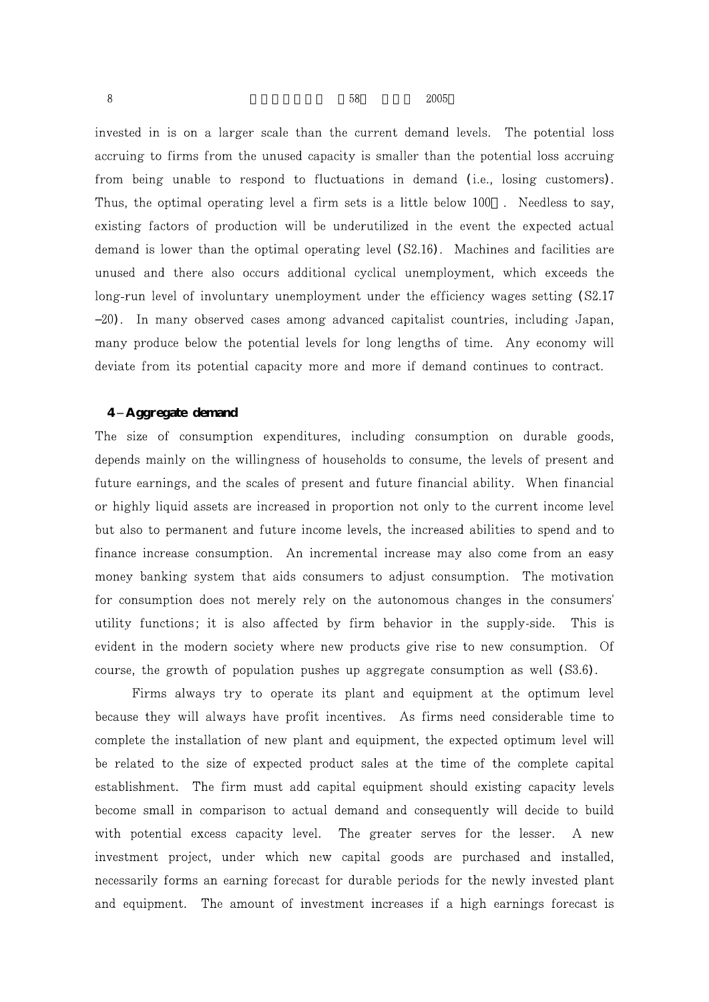invested in is on a larger scale than the current demand levels. The potential loss accruing to firms from the unused capacity is smaller than the potential loss accruing from being unable to respond to fluctuations in demand (i.e., losing customers). Thus, the optimal operating level a firm sets is a little below 100. Needless to say, existing factors of production will be underutilized in the event the expected actual demand is lower than the optimal operating level (S2.16). Machines and facilities are unused and there also occurs additional cyclical unemployment, which exceeds the long-run level of involuntary unemployment under the efficiency wages setting (S2.17) 20. In many observed cases among advanced capitalist countries, including Japan, many produce below the potential levels for long lengths of time. Any economy will deviate from its potential capacity more and more if demand continues to contract.

#### **4 Aggregate demand**

The size of consumption expenditures, including consumption on durable goods, depends mainly on the willingness of households to consume, the levels of present and future earnings, and the scales of present and future financial ability. When financial or highly liquid assets are increased in proportion not only to the current income level but also to permanent and future income levels, the increased abilities to spend and to finance increase consumption. An incremental increase may also come from an easy money banking system that aids consumers to adjust consumption. The motivation for consumption does not merely rely on the autonomous changes in the consumers' utility functions; it is also affected by firm behavior in the supply-side. This is evident in the modern society where new products give rise to new consumption. Of course, the growth of population pushes up aggregate consumption as well  $(S3.6)$ .

Firms always try to operate its plant and equipment at the optimum level because they will always have profit incentives. As firms need considerable time to complete the installation of new plant and equipment, the expected optimum level will be related to the size of expected product sales at the time of the complete capital establishment. The firm must add capital equipment should existing capacity levels become small in comparison to actual demand and consequently will decide to build with potential excess capacity level. The greater serves for the lesser. A new investment project, under which new capital goods are purchased and installed, necessarily forms an earning forecast for durable periods for the newly invested plant and equipment. The amount of investment increases if a high earnings forecast is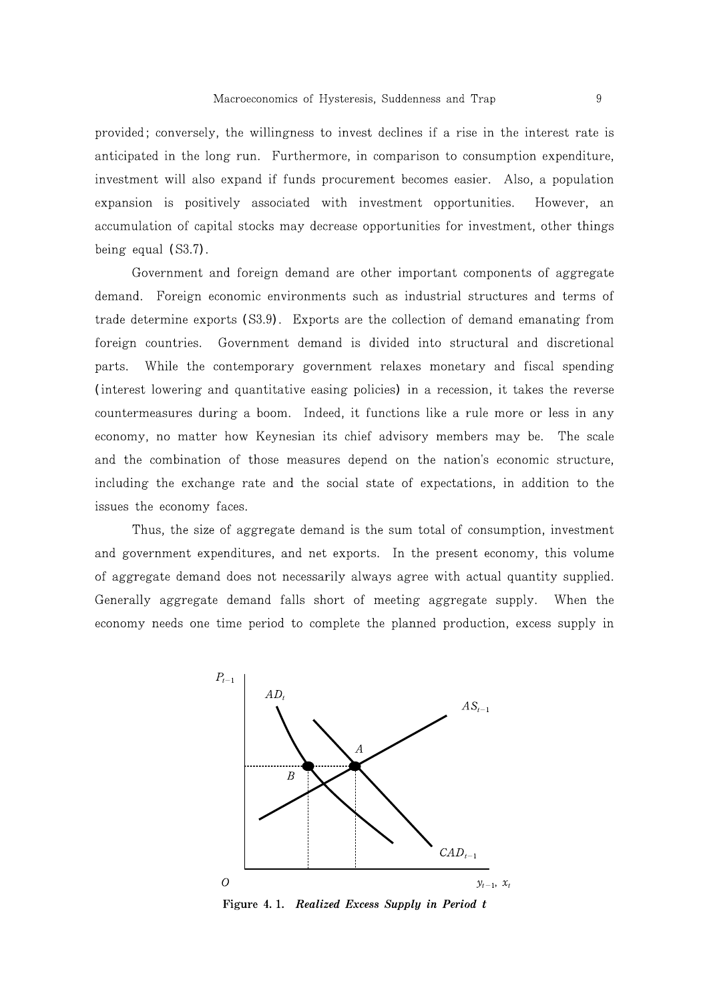provided; conversely, the willingness to invest declines if a rise in the interest rate is anticipated in the long run. Furthermore, in comparison to consumption expenditure, investment will also expand if funds procurement becomes easier. Also, a population expansion is positively associated with investment opportunities. However, an accumulation of capital stocks may decrease opportunities for investment, other things being equal  $(S3.7)$ .

Government and foreign demand are other important components of aggregate demand. Foreign economic environments such as industrial structures and terms of trade determine exports (S3.9). Exports are the collection of demand emanating from Government demand is divided into structural and discretional foreign countries. parts. While the contemporary government relaxes monetary and fiscal spending (interest lowering and quantitative easing policies) in a recession, it takes the reverse countermeasures during a boom. Indeed, it functions like a rule more or less in any economy, no matter how Keynesian its chief advisory members may be. The scale and the combination of those measures depend on the nation's economic structure, including the exchange rate and the social state of expectations, in addition to the issues the economy faces.

Thus, the size of aggregate demand is the sum total of consumption, investment and government expenditures, and net exports. In the present economy, this volume of aggregate demand does not necessarily always agree with actual quantity supplied. Generally aggregate demand falls short of meeting aggregate supply. When the economy needs one time period to complete the planned production, excess supply in



Figure 4.1. Realized Excess Supply in Period t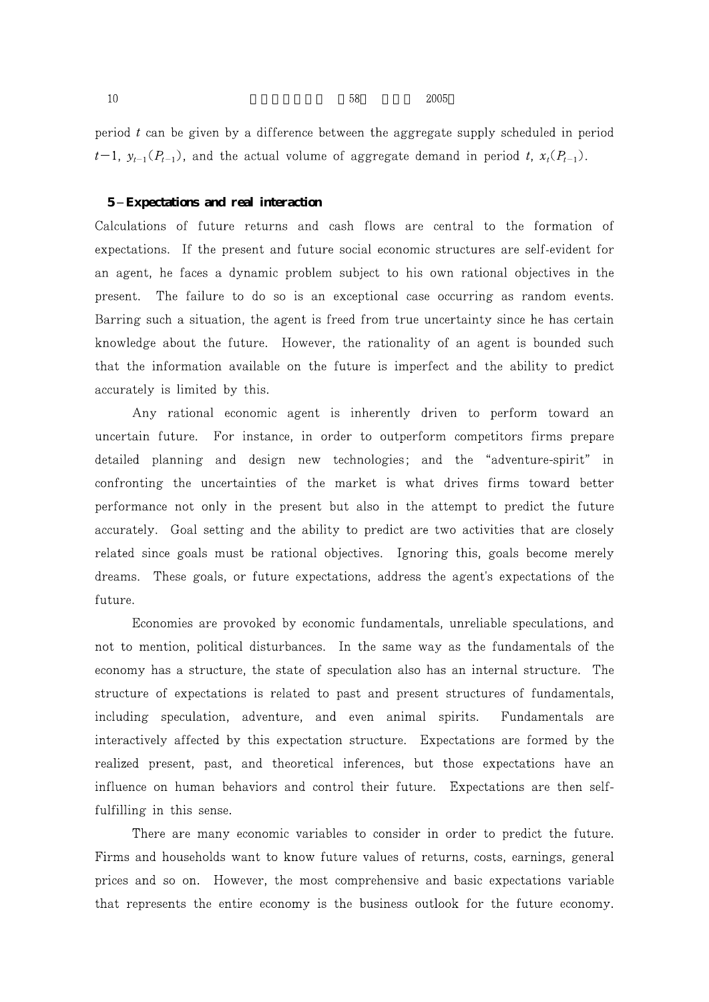period  $t$  can be given by a difference between the aggregate supply scheduled in period  $t-1$ ,  $y_{t-1}(P_{t-1})$ , and the actual volume of aggregate demand in period t,  $x_t(P_{t-1})$ .

### **5 Expectations and real interaction**

Calculations of future returns and cash flows are central to the formation of expectations. If the present and future social economic structures are self-evident for an agent, he faces a dynamic problem subject to his own rational objectives in the present. The failure to do so is an exceptional case occurring as random events. Barring such a situation, the agent is freed from true uncertainty since he has certain knowledge about the future. However, the rationality of an agent is bounded such that the information available on the future is imperfect and the ability to predict accurately is limited by this.

Any rational economic agent is inherently driven to perform toward an uncertain future. For instance, in order to outperform competitors firms prepare detailed planning and design new technologies; and the "adventure-spirit" in confronting the uncertainties of the market is what drives firms toward better performance not only in the present but also in the attempt to predict the future accurately. Goal setting and the ability to predict are two activities that are closely related since goals must be rational objectives. Ignoring this, goals become merely dreams. These goals, or future expectations, address the agent's expectations of the future.

Economies are provoked by economic fundamentals, unreliable speculations, and not to mention, political disturbances. In the same way as the fundamentals of the economy has a structure, the state of speculation also has an internal structure. The structure of expectations is related to past and present structures of fundamentals, including speculation, adventure, and even animal spirits. Fundamentals are interactively affected by this expectation structure. Expectations are formed by the realized present, past, and theoretical inferences, but those expectations have an influence on human behaviors and control their future. Expectations are then selffulfilling in this sense.

There are many economic variables to consider in order to predict the future. Firms and households want to know future values of returns, costs, earnings, general prices and so on. However, the most comprehensive and basic expectations variable that represents the entire economy is the business outlook for the future economy.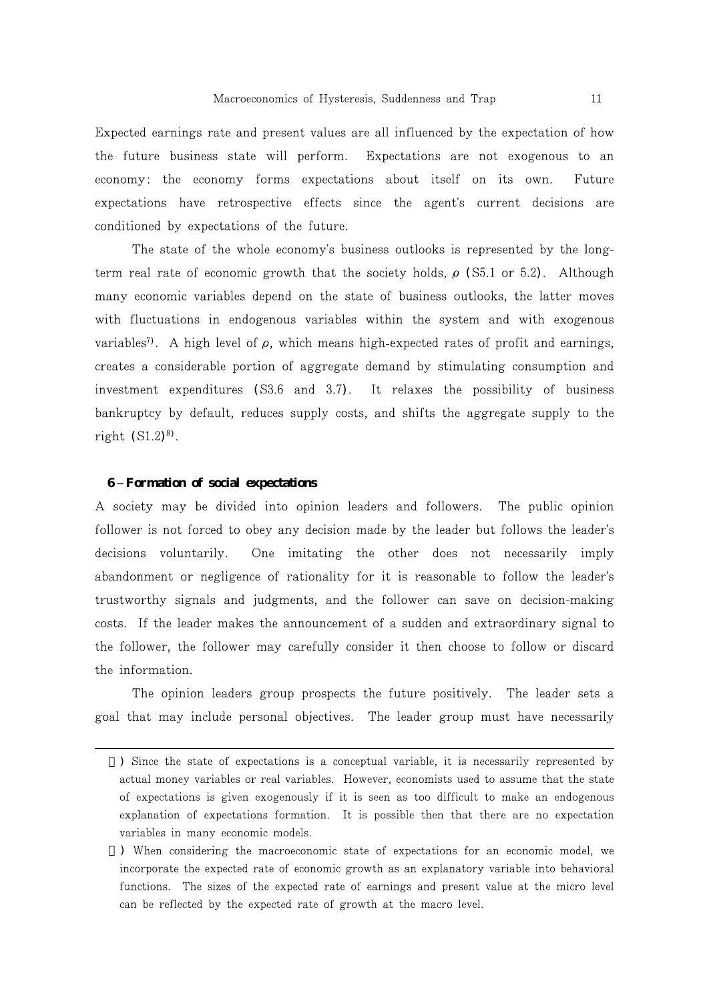Expected earnings rate and present values are all influenced by the expectation of how the future business state will perform. Expectations are not exogenous to an economy: the economy forms expectations about itself on its own. Future expectations have retrospective effects since the agent's current decisions are conditioned by expectations of the future.

The state of the whole economy's business outlooks is represented by the longterm real rate of economic growth that the society holds,  $\rho$  (S5.1 or 5.2). Although many economic variables depend on the state of business outlooks, the latter moves with fluctuations in endogenous variables within the system and with exogenous variables<sup> $\eta$ </sup>. A high level of  $\rho$ , which means high-expected rates of profit and earnings, creates a considerable portion of aggregate demand by stimulating consumption and investment expenditures  $(S3.6 \text{ and } 3.7)$ . It relaxes the possibility of business bankruptcy by default, reduces supply costs, and shifts the aggregate supply to the right  $(S1.2)^{8}$ .

#### **6 Formation of social expectations**

A society may be divided into opinion leaders and followers. The public opinion follower is not forced to obey any decision made by the leader but follows the leader's decisions voluntarily. One imitating the other does not necessarily imply abandonment or negligence of rationality for it is reasonable to follow the leader's trustworthy signals and judgments, and the follower can save on decision-making costs. If the leader makes the announcement of a sudden and extraordinary signal to the follower, the follower may carefully consider it then choose to follow or discard the information.

The opinion leaders group prospects the future positively. The leader sets a goal that may include personal objectives. The leader group must have necessarily

<sup>)</sup> Since the state of expectations is a conceptual variable, it is necessarily represented by actual money variables or real variables. However, economists used to assume that the state of expectations is given exogenously if it is seen as too difficult to make an endogenous explanation of expectations formation. It is possible then that there are no expectation variables in many economic models.

<sup>)</sup> When considering the macroeconomic state of expectations for an economic model, we incorporate the expected rate of economic growth as an explanatory variable into behavioral functions. The sizes of the expected rate of earnings and present value at the micro level can be reflected by the expected rate of growth at the macro level.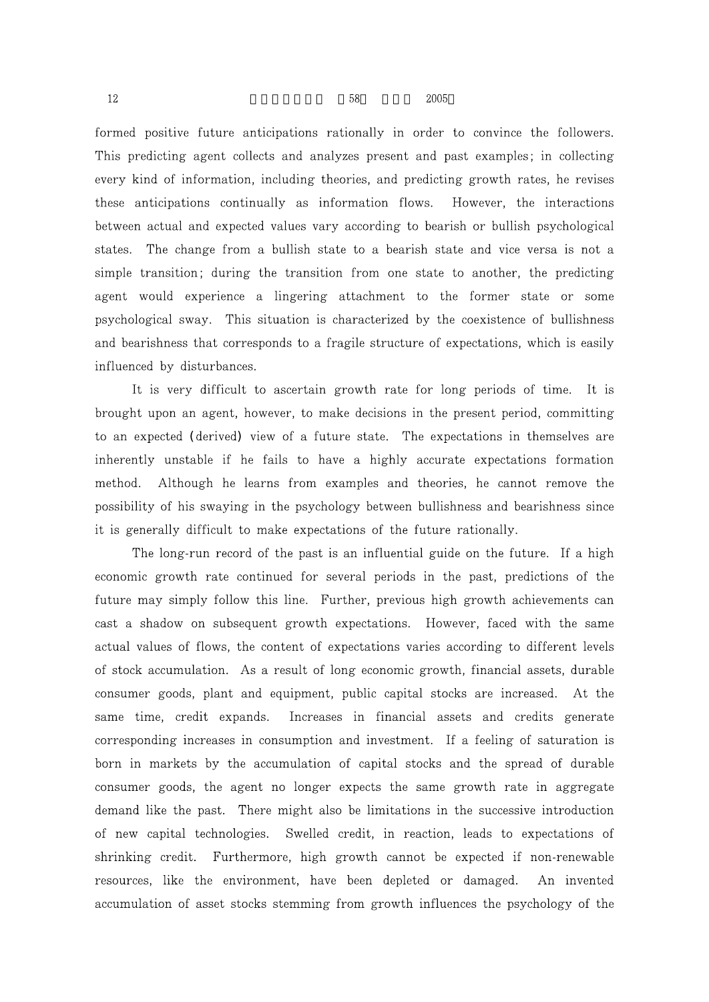formed positive future anticipations rationally in order to convince the followers. This predicting agent collects and analyzes present and past examples; in collecting every kind of information, including theories, and predicting growth rates, he revises these anticipations continually as information flows. However, the interactions between actual and expected values vary according to bearish or bullish psychological states. The change from a bullish state to a bearish state and vice versa is not a simple transition; during the transition from one state to another, the predicting agent would experience a lingering attachment to the former state or some psychological sway. This situation is characterized by the coexistence of bullishness and bearishness that corresponds to a fragile structure of expectations, which is easily influenced by disturbances.

It is very difficult to ascertain growth rate for long periods of time. It is brought upon an agent, however, to make decisions in the present period, committing to an expected (derived) view of a future state. The expectations in themselves are inherently unstable if he fails to have a highly accurate expectations formation method. Although he learns from examples and theories, he cannot remove the possibility of his swaying in the psychology between bullishness and bearishness since it is generally difficult to make expectations of the future rationally.

The long-run record of the past is an influential guide on the future. If a high economic growth rate continued for several periods in the past, predictions of the future may simply follow this line. Further, previous high growth achievements can cast a shadow on subsequent growth expectations. However, faced with the same actual values of flows, the content of expectations varies according to different levels of stock accumulation. As a result of long economic growth, financial assets, durable consumer goods, plant and equipment, public capital stocks are increased. At the same time, credit expands. Increases in financial assets and credits generate corresponding increases in consumption and investment. If a feeling of saturation is born in markets by the accumulation of capital stocks and the spread of durable consumer goods, the agent no longer expects the same growth rate in aggregate demand like the past. There might also be limitations in the successive introduction of new capital technologies. Swelled credit, in reaction, leads to expectations of shrinking credit. Furthermore, high growth cannot be expected if non-renewable resources, like the environment, have been depleted or damaged. An invented accumulation of asset stocks stemming from growth influences the psychology of the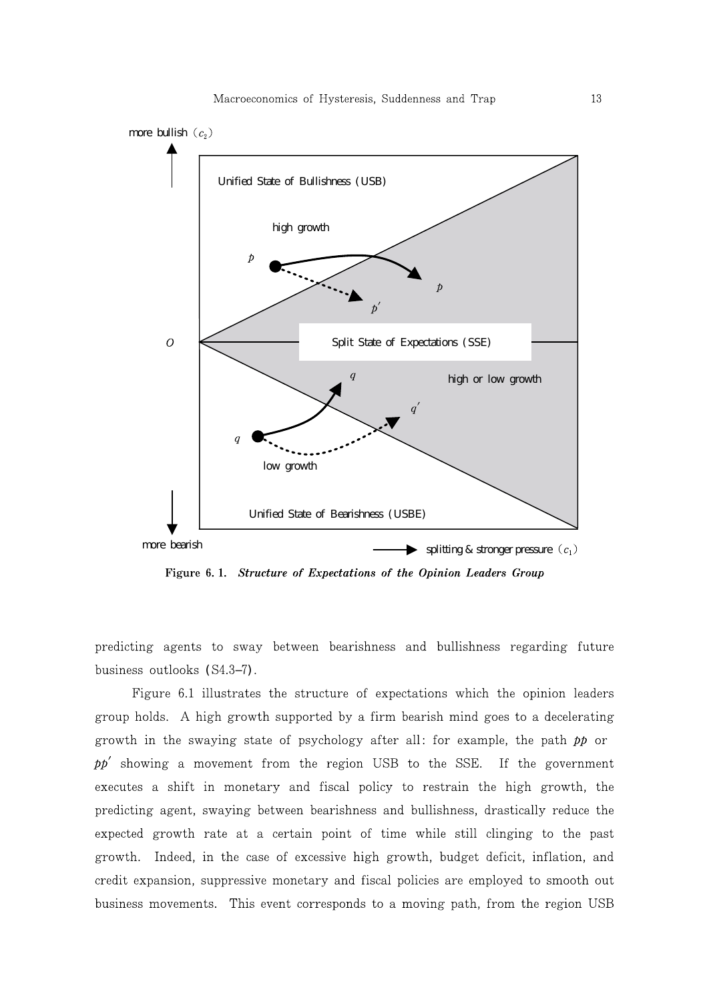

Figure 6.1. Structure of Expectations of the Opinion Leaders Group

predicting agents to sway between bearishness and bullishness regarding future business outlooks (S4.3 7).

Figure 6.1 illustrates the structure of expectations which the opinion leaders group holds. A high growth supported by a firm bearish mind goes to a decelerating growth in the swaying state of psychology after all: for example, the path  $pp$  or  $pp'$  showing a movement from the region USB to the SSE. If the government executes a shift in monetary and fiscal policy to restrain the high growth, the predicting agent, swaying between bearishness and bullishness, drastically reduce the expected growth rate at a certain point of time while still clinging to the past growth. Indeed, in the case of excessive high growth, budget deficit, inflation, and credit expansion, suppressive monetary and fiscal policies are employed to smooth out business movements. This event corresponds to a moving path, from the region USB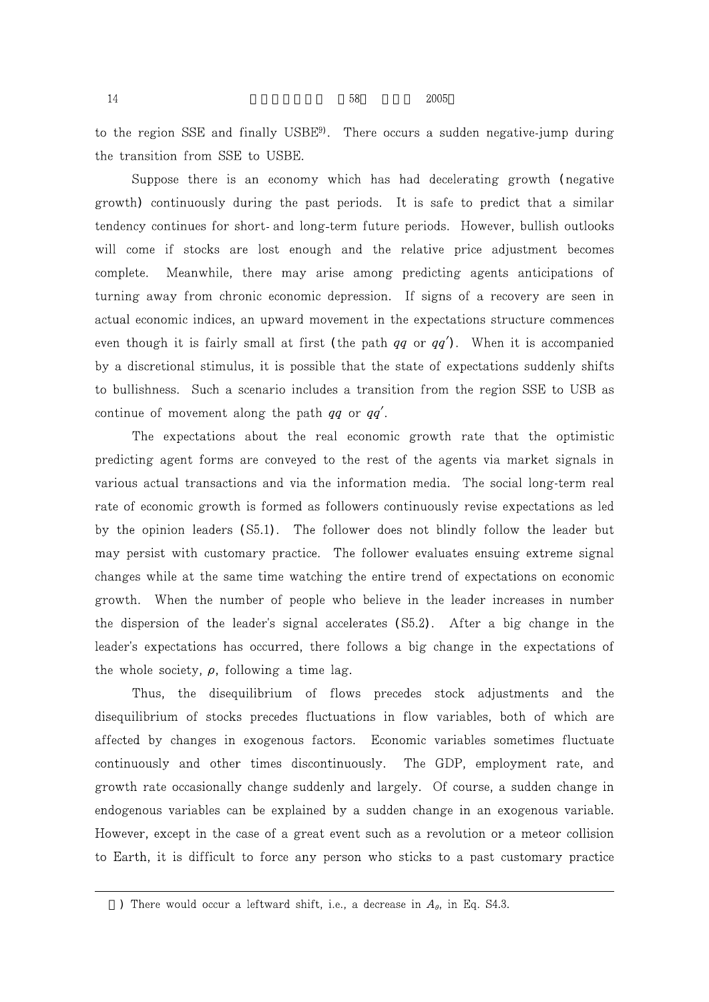$14$  58  $2005$ 

to the region SSE and finally USBE<sup>9</sup>. There occurs a sudden negative-jump during the transition from SSE to USBE.

Suppose there is an economy which has had decelerating growth (negative growth) continuously during the past periods. It is safe to predict that a similar tendency continues for short- and long-term future periods. However, bullish outlooks will come if stocks are lost enough and the relative price adjustment becomes complete. Meanwhile, there may arise among predicting agents anticipations of turning away from chronic economic depression. If signs of a recovery are seen in actual economic indices, an upward movement in the expectations structure commences even though it is fairly small at first (the path  $qq$  or  $qq'$ ). When it is accompanied by a discretional stimulus, it is possible that the state of expectations suddenly shifts to bullishness. Such a scenario includes a transition from the region SSE to USB as continue of movement along the path  $qq$  or  $qq'$ .

The expectations about the real economic growth rate that the optimistic predicting agent forms are conveyed to the rest of the agents via market signals in various actual transactions and via the information media. The social long-term real rate of economic growth is formed as followers continuously revise expectations as led by the opinion leaders (S5.1). The follower does not blindly follow the leader but may persist with customary practice. The follower evaluates ensuing extreme signal changes while at the same time watching the entire trend of expectations on economic growth. When the number of people who believe in the leader increases in number the dispersion of the leader's signal accelerates (S5.2). After a big change in the leader's expectations has occurred, there follows a big change in the expectations of the whole society,  $\rho$ , following a time lag.

Thus, the disequilibrium of flows precedes stock adjustments and the disequilibrium of stocks precedes fluctuations in flow variables, both of which are affected by changes in exogenous factors. Economic variables sometimes fluctuate continuously and other times discontinuously. The GDP, employment rate, and growth rate occasionally change suddenly and largely. Of course, a sudden change in endogenous variables can be explained by a sudden change in an exogenous variable. However, except in the case of a great event such as a revolution or a meteor collision to Earth, it is difficult to force any person who sticks to a past customary practice

<sup>)</sup> There would occur a leftward shift, i.e., a decrease in  $A_{\theta}$ , in Eq. S4.3.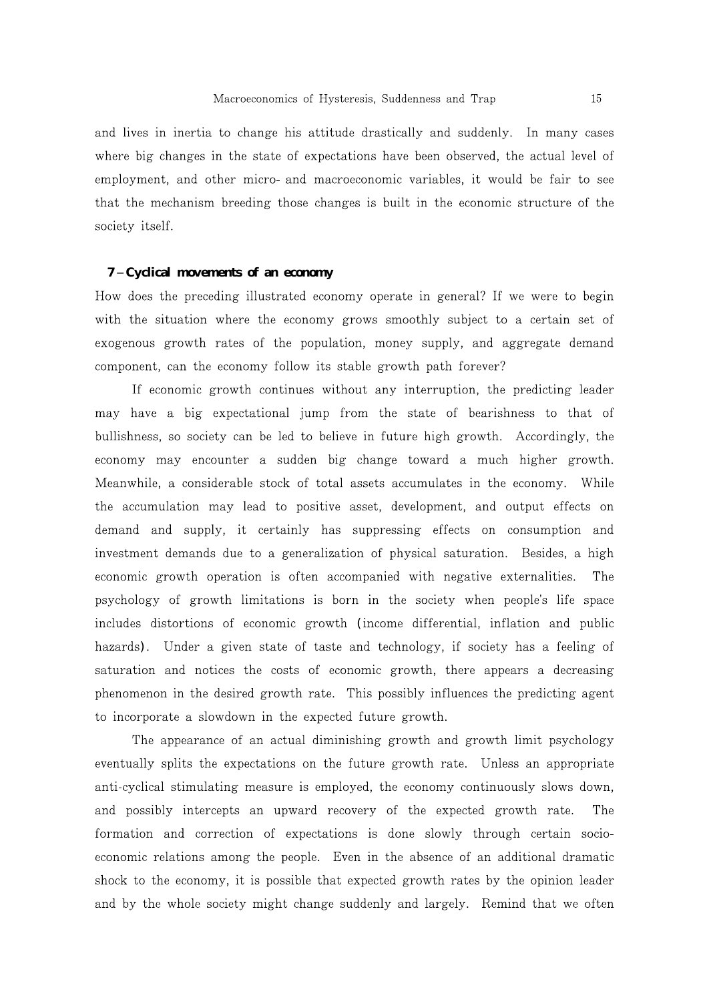and lives in inertia to change his attitude drastically and suddenly. In many cases where big changes in the state of expectations have been observed, the actual level of employment, and other micro- and macroeconomic variables, it would be fair to see that the mechanism breeding those changes is built in the economic structure of the society itself.

#### **7 Cyclical movements of an economy**

How does the preceding illustrated economy operate in general? If we were to begin with the situation where the economy grows smoothly subject to a certain set of exogenous growth rates of the population, money supply, and aggregate demand component, can the economy follow its stable growth path forever?

If economic growth continues without any interruption, the predicting leader may have a big expectational jump from the state of bearishness to that of bullishness, so society can be led to believe in future high growth. Accordingly, the economy may encounter a sudden big change toward a much higher growth. Meanwhile, a considerable stock of total assets accumulates in the economy. While the accumulation may lead to positive asset, development, and output effects on demand and supply, it certainly has suppressing effects on consumption and investment demands due to a generalization of physical saturation. Besides, a high economic growth operation is often accompanied with negative externalities. The psychology of growth limitations is born in the society when people's life space includes distortions of economic growth (income differential, inflation and public hazards). Under a given state of taste and technology, if society has a feeling of saturation and notices the costs of economic growth, there appears a decreasing phenomenon in the desired growth rate. This possibly influences the predicting agent to incorporate a slowdown in the expected future growth.

The appearance of an actual diminishing growth and growth limit psychology eventually splits the expectations on the future growth rate. Unless an appropriate anti-cyclical stimulating measure is employed, the economy continuously slows down, and possibly intercepts an upward recovery of the expected growth rate. The formation and correction of expectations is done slowly through certain socioeconomic relations among the people. Even in the absence of an additional dramatic shock to the economy, it is possible that expected growth rates by the opinion leader and by the whole society might change suddenly and largely. Remind that we often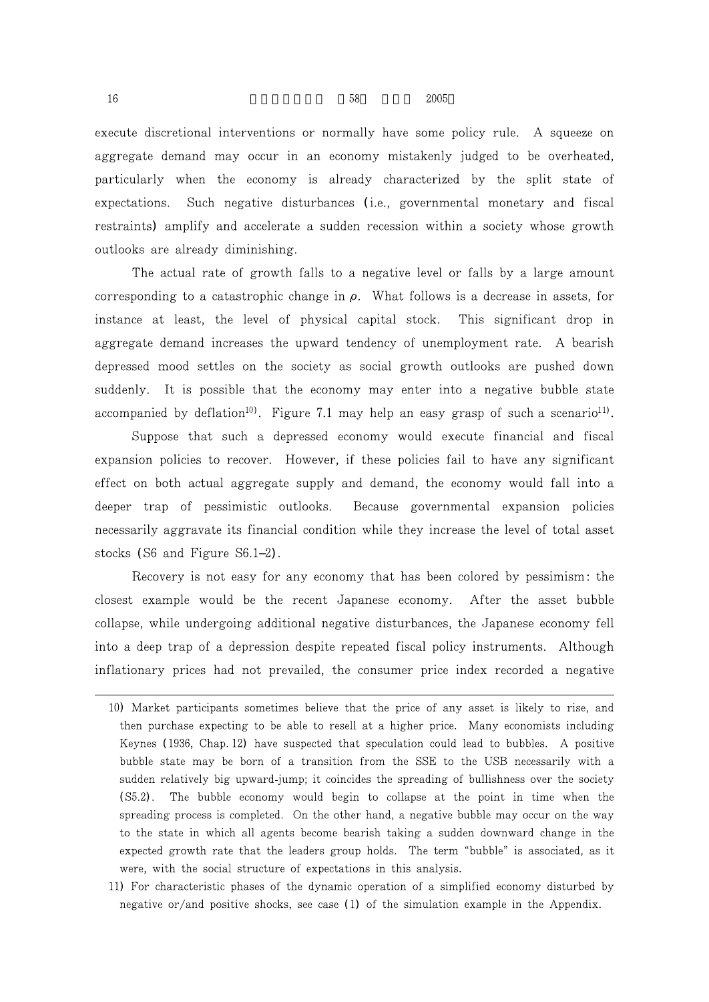execute discretional interventions or normally have some policy rule. A squeeze on aggregate demand may occur in an economy mistakenly judged to be overheated, particularly when the economy is already characterized by the split state of expectations. Such negative disturbances (i.e., governmental monetary and fiscal

restraints) amplify and accelerate a sudden recession within a society whose growth

The actual rate of growth falls to a negative level or falls by a large amount corresponding to a catastrophic change in  $\rho$ . What follows is a decrease in assets, for instance at least, the level of physical capital stock. This significant drop in aggregate demand increases the upward tendency of unemployment rate. A bearish depressed mood settles on the society as social growth outlooks are pushed down suddenly. It is possible that the economy may enter into a negative bubble state accompanied by deflation<sup>10</sup>. Figure 7.1 may help an easy grasp of such a scenario<sup>11</sup>.

Suppose that such a depressed economy would execute financial and fiscal expansion policies to recover. However, if these policies fail to have any significant effect on both actual aggregate supply and demand, the economy would fall into a deeper trap of pessimistic outlooks. Because governmental expansion policies necessarily aggravate its financial condition while they increase the level of total asset stocks  $(S6$  and Figure  $S6.1$  2).

Recovery is not easy for any economy that has been colored by pessimism: the closest example would be the recent Japanese economy. After the asset bubble collapse, while undergoing additional negative disturbances, the Japanese economy fell into a deep trap of a depression despite repeated fiscal policy instruments. Although inflationary prices had not prevailed, the consumer price index recorded a negative

outlooks are already diminishing.

<sup>10)</sup> Market participants sometimes believe that the price of any asset is likely to rise, and then purchase expecting to be able to resell at a higher price. Many economists including Keynes (1936, Chap. 12) have suspected that speculation could lead to bubbles. A positive bubble state may be born of a transition from the SSE to the USB necessarily with a sudden relatively big upward-jump; it coincides the spreading of bullishness over the society (S5.2). The bubble economy would begin to collapse at the point in time when the spreading process is completed. On the other hand, a negative bubble may occur on the way to the state in which all agents become bearish taking a sudden downward change in the expected growth rate that the leaders group holds. The term "bubble" is associated, as it were, with the social structure of expectations in this analysis.

<sup>11)</sup> For characteristic phases of the dynamic operation of a simplified economy disturbed by negative or/and positive shocks, see case  $(1)$  of the simulation example in the Appendix.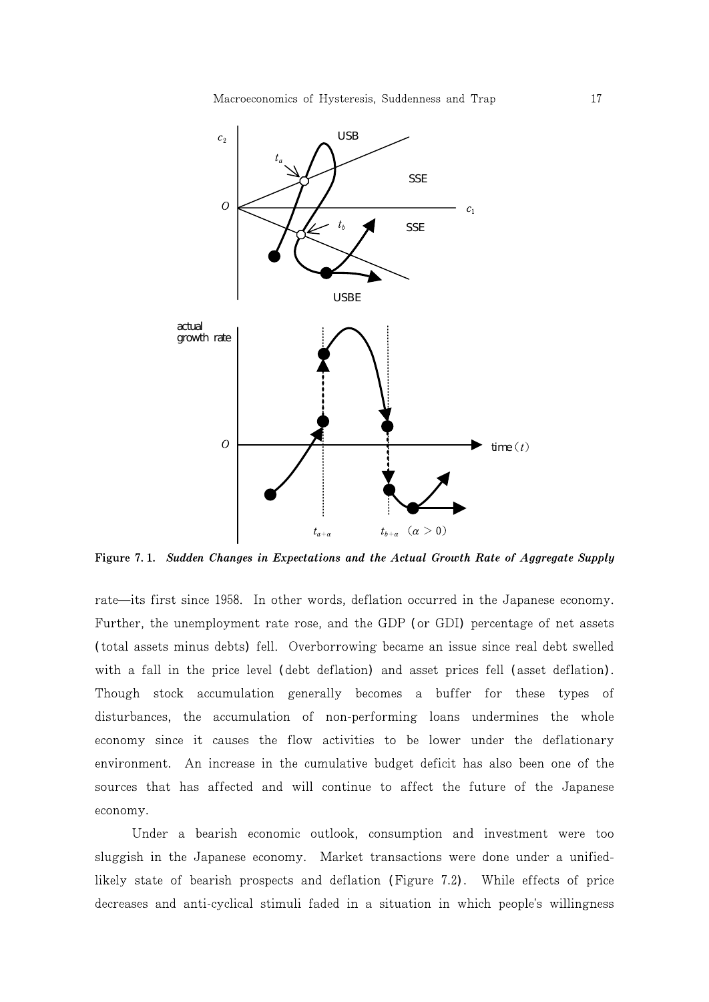

Figure 7.1. Sudden Changes in Expectations and the Actual Growth Rate of Aggregate Supply

rate its first since 1958. In other words, deflation occurred in the Japanese economy. Further, the unemployment rate rose, and the GDP (or GDI) percentage of net assets (total assets minus debts) fell. Overborrowing became an issue since real debt swelled with a fall in the price level (debt deflation) and asset prices fell (asset deflation). Though stock accumulation generally becomes a buffer for these types of disturbances, the accumulation of non-performing loans undermines the whole economy since it causes the flow activities to be lower under the deflationary environment. An increase in the cumulative budget deficit has also been one of the sources that has affected and will continue to affect the future of the Japanese economy.

Under a bearish economic outlook, consumption and investment were too sluggish in the Japanese economy. Market transactions were done under a unifiedlikely state of bearish prospects and deflation (Figure 7.2). While effects of price decreases and anti-cyclical stimuli faded in a situation in which people's willingness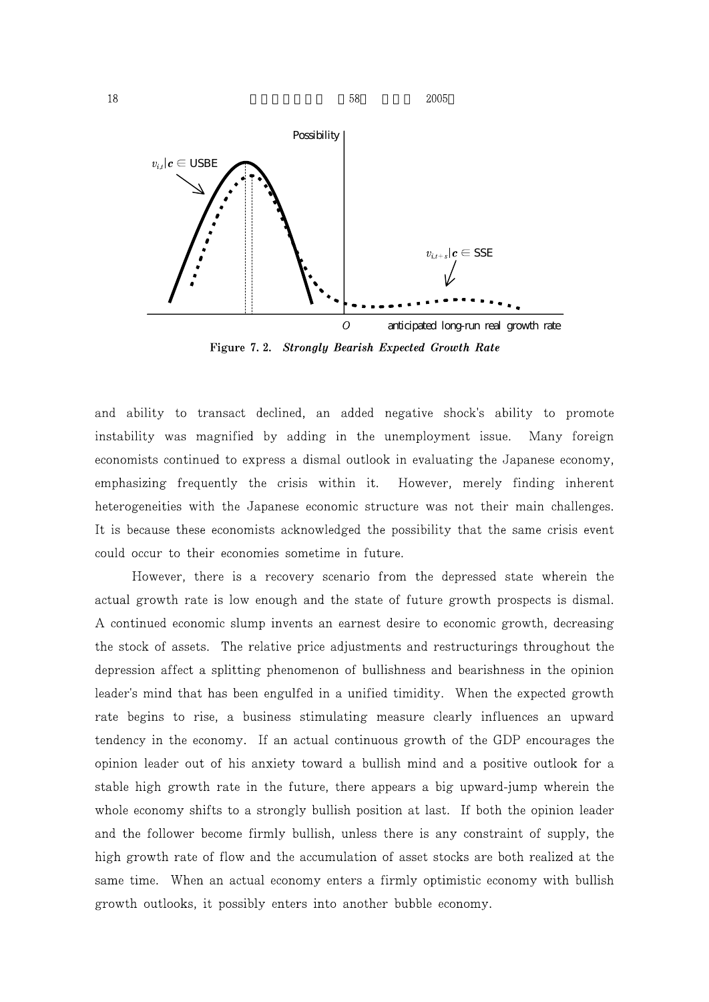

Figure 7.2. Strongly Bearish Expected Growth Rate

and ability to transact declined, an added negative shock's ability to promote instability was magnified by adding in the unemployment issue. Many foreign economists continued to express a dismal outlook in evaluating the Japanese economy, emphasizing frequently the crisis within it. However, merely finding inherent heterogeneities with the Japanese economic structure was not their main challenges. It is because these economists acknowledged the possibility that the same crisis event could occur to their economies sometime in future.

However, there is a recovery scenario from the depressed state wherein the actual growth rate is low enough and the state of future growth prospects is dismal. A continued economic slump invents an earnest desire to economic growth, decreasing the stock of assets. The relative price adjustments and restructurings throughout the depression affect a splitting phenomenon of bullishness and bearishness in the opinion leader's mind that has been engulfed in a unified timidity. When the expected growth rate begins to rise, a business stimulating measure clearly influences an upward tendency in the economy. If an actual continuous growth of the GDP encourages the opinion leader out of his anxiety toward a bullish mind and a positive outlook for a stable high growth rate in the future, there appears a big upward-jump wherein the whole economy shifts to a strongly bullish position at last. If both the opinion leader and the follower become firmly bullish, unless there is any constraint of supply, the high growth rate of flow and the accumulation of asset stocks are both realized at the same time. When an actual economy enters a firmly optimistic economy with bullish growth outlooks, it possibly enters into another bubble economy.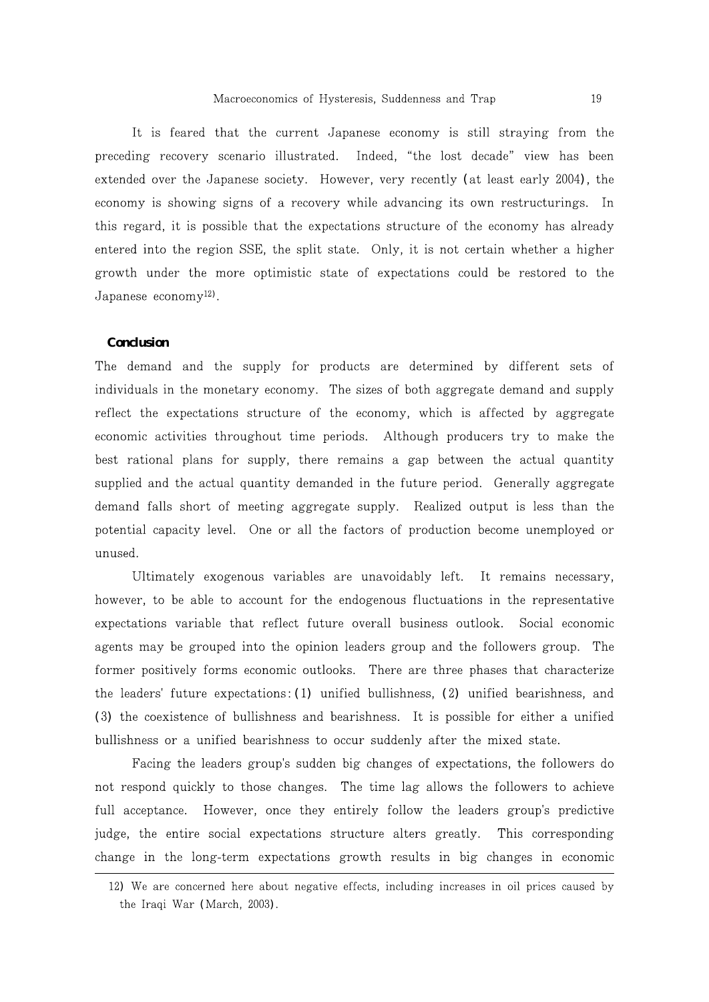It is feared that the current Japanese economy is still straying from the preceding recovery scenario illustrated. Indeed, "the lost decade" view has been extended over the Japanese society. However, very recently (at least early 2004), the economy is showing signs of a recovery while advancing its own restructurings. In this regard, it is possible that the expectations structure of the economy has already entered into the region SSE, the split state. Only, it is not certain whether a higher growth under the more optimistic state of expectations could be restored to the Japanese economy<sup>12</sup>).

#### **Conclusion**

The demand and the supply for products are determined by different sets of individuals in the monetary economy. The sizes of both aggregate demand and supply reflect the expectations structure of the economy, which is affected by aggregate economic activities throughout time periods. Although producers try to make the best rational plans for supply, there remains a gap between the actual quantity supplied and the actual quantity demanded in the future period. Generally aggregate demand falls short of meeting aggregate supply. Realized output is less than the potential capacity level. One or all the factors of production become unemployed or unused.

Ultimately exogenous variables are unavoidably left. It remains necessary, however, to be able to account for the endogenous fluctuations in the representative expectations variable that reflect future overall business outlook. Social economic agents may be grouped into the opinion leaders group and the followers group. The former positively forms economic outlooks. There are three phases that characterize the leaders' future expectations:  $(1)$  unified bullishness,  $(2)$  unified bearishness, and (3) the coexistence of bullishness and bearishness. It is possible for either a unified bullishness or a unified bearishness to occur suddenly after the mixed state.

Facing the leaders group's sudden big changes of expectations, the followers do not respond quickly to those changes. The time lag allows the followers to achieve full acceptance. However, once they entirely follow the leaders group's predictive judge, the entire social expectations structure alters greatly. This corresponding change in the long-term expectations growth results in big changes in economic

<sup>12)</sup> We are concerned here about negative effects, including increases in oil prices caused by the Iraqi War (March, 2003).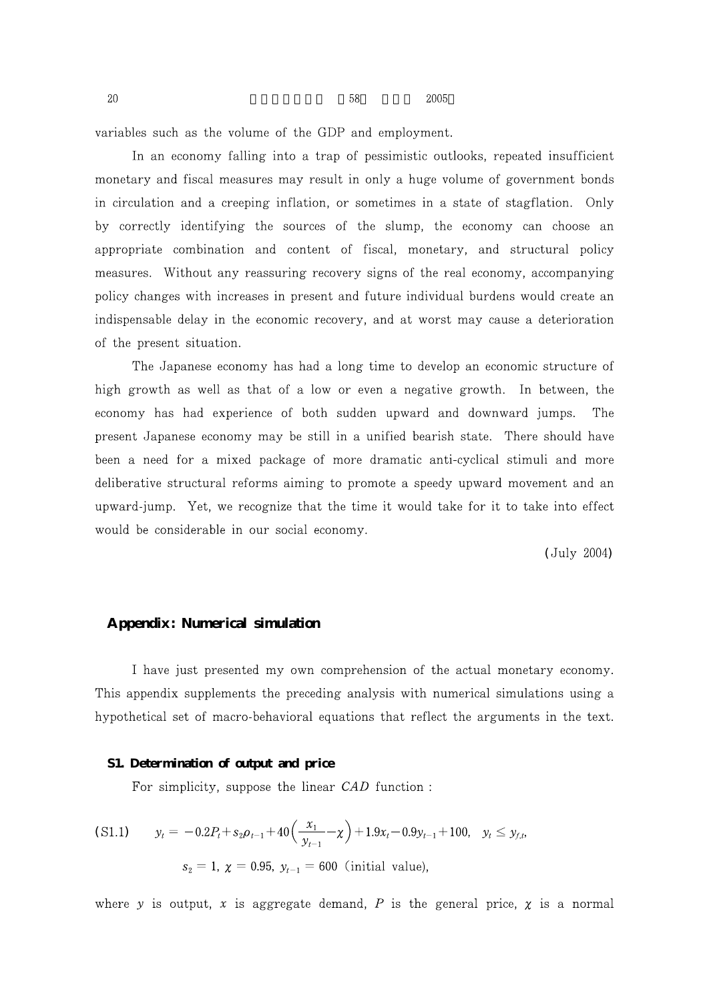variables such as the volume of the GDP and employment.

In an economy falling into a trap of pessimistic outlooks, repeated insufficient monetary and fiscal measures may result in only a huge volume of government bonds in circulation and a creeping inflation, or sometimes in a state of stagflation. Only by correctly identifying the sources of the slump, the economy can choose an appropriate combination and content of fiscal, monetary, and structural policy measures. Without any reassuring recovery signs of the real economy, accompanying policy changes with increases in present and future individual burdens would create an indispensable delay in the economic recovery, and at worst may cause a deterioration of the present situation.

The Japanese economy has had a long time to develop an economic structure of high growth as well as that of a low or even a negative growth. In between, the economy has had experience of both sudden upward and downward jumps. The present Japanese economy may be still in a unified bearish state. There should have been a need for a mixed package of more dramatic anti-cyclical stimuli and more deliberative structural reforms aiming to promote a speedy upward movement and an upward-jump. Yet, we recognize that the time it would take for it to take into effect would be considerable in our social economy.

(July 2004)

# **Appendix: Numerical simulation**

I have just presented my own comprehension of the actual monetary economy. This appendix supplements the preceding analysis with numerical simulations using a hypothetical set of macro-behavioral equations that reflect the arguments in the text.

#### **S1. Determination of output and price**

For simplicity, suppose the linear CAD function :

$$
\begin{aligned} \text{(S1.1)} \qquad \quad y_t &= -0.2P_t + s_2 \rho_{t-1} + 40 \left( \frac{x_1}{y_{t-1}} - \chi \right) + 1.9x_t - 0.9y_{t-1} + 100, \quad y_t \le y_{f,t}, \\ s_2 &= 1, \ \chi = 0.95, \ y_{t-1} = 600 \ \text{(initial value)}, \end{aligned}
$$

where y is output, x is aggregate demand, P is the general price,  $\chi$  is a normal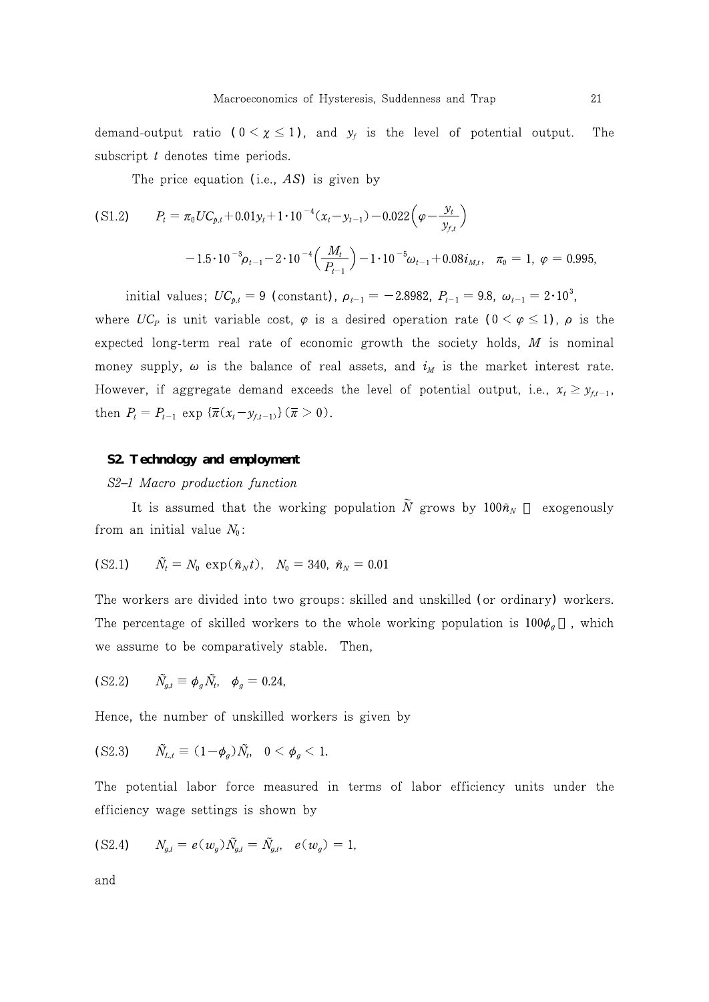demand-output ratio  $(0 \le \chi \le 1)$ , and  $y_f$  is the level of potential output. The subscript  $t$  denotes time periods.

The price equation (i.e.,  $AS$ ) is given by

(S1.2) 
$$
P_t = \pi_0 U C_{p,t} + 0.01 y_t + 1 \cdot 10^{-4} (x_t - y_{t-1}) - 0.022 \left( \varphi - \frac{y_t}{y_{f,t}} \right)
$$

$$
-1.5 \cdot 10^{-3} \rho_{t-1} - 2 \cdot 10^{-4} \left( \frac{M_t}{P_{t-1}} \right) - 1 \cdot 10^{-5} \omega_{t-1} + 0.08 i_{M,t}, \quad \pi_0 = 1, \ \varphi = 0.995,
$$

initial values;  $UC_{p,t} = 9$  (constant),  $\rho_{t-1} = -2.8982$ ,  $P_{t-1} = 9.8$ ,  $\omega_{t-1} = 2 \cdot 10^3$ , where  $UC_p$  is unit variable cost,  $\varphi$  is a desired operation rate  $(0 \leq \varphi \leq 1)$ ,  $\rho$  is the expected long-term real rate of economic growth the society holds,  $M$  is nominal money supply,  $\omega$  is the balance of real assets, and  $i_M$  is the market interest rate. However, if aggregate demand exceeds the level of potential output, i.e.,  $x_t \geq y_{f,t-1}$ , then  $P_t = P_{t-1} \exp \left\{ \overline{\pi} (x_t - y_{f,t-1}) \right\} (\overline{\pi} > 0).$ 

# **S2. Technology and employment**

### S2 1 Macro production function

It is assumed that the working population  $\widetilde{N}$  grows by  $100\tilde{n}_{N}$  exogenously from an initial value  $N_0$ :

(S2.1) 
$$
\tilde{N}_t = N_0 \exp(\tilde{n}_N t), \quad N_0 = 340, \ \tilde{n}_N = 0.01
$$

The workers are divided into two groups: skilled and unskilled (or ordinary) workers. The percentage of skilled workers to the whole working population is  $100\phi_g$ , which we assume to be comparatively stable. Then,

$$
(S2.2) \qquad \tilde{N}_{g,t} \equiv \phi_g \tilde{N}_t, \quad \phi_g = 0.24,
$$

Hence, the number of unskilled workers is given by

$$
(S2.3) \qquad \tilde{N}_{L,t} \equiv (1-\phi_g)\tilde{N}_t, \quad 0 < \phi_g < 1.
$$

The potential labor force measured in terms of labor efficiency units under the efficiency wage settings is shown by

(S2.4) 
$$
N_{g,t} = e(w_g) \tilde{N}_{g,t} = \tilde{N}_{g,t}, e(w_g) = 1,
$$

$$
\quad\text{and}\quad
$$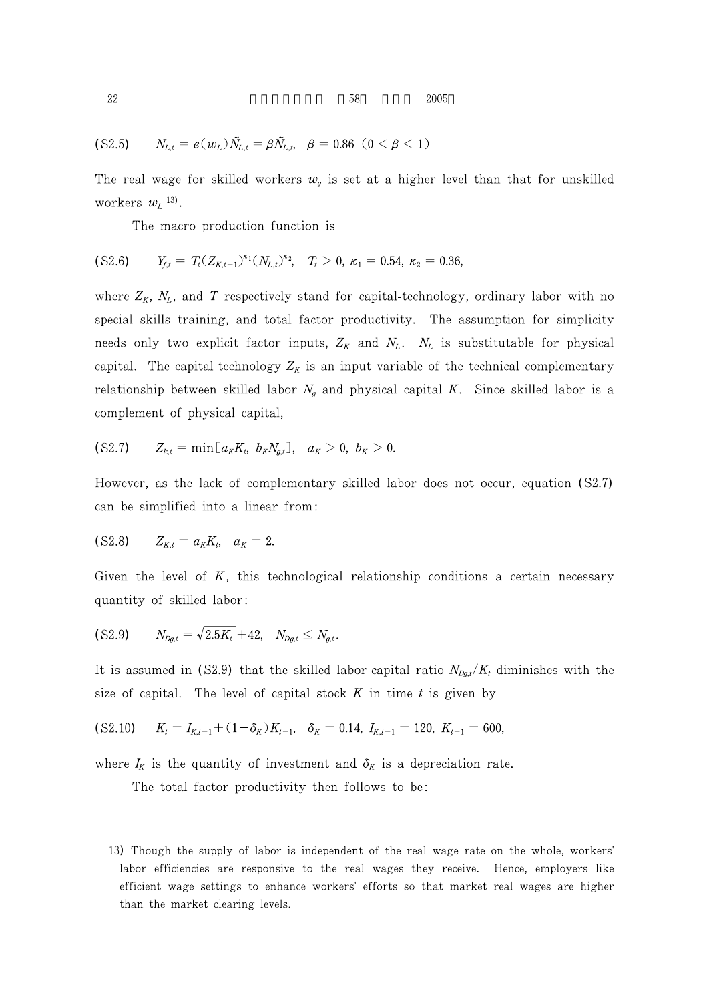$$
(S2.5) \t N_{L,t} = e(w_L) \tilde{N}_{L,t} = \beta \tilde{N}_{L,t}, \quad \beta = 0.86 \ (0 < \beta < 1)
$$

The real wage for skilled workers  $w_g$  is set at a higher level than that for unskilled workers  $w_L$ <sup>13)</sup>.

The macro production function is

$$
(S2.6) \t Y_{f,t} = T_t (Z_{K,t-1})^{\kappa_1} (N_{L,t})^{\kappa_2}, \t T_t > 0, \kappa_1 = 0.54, \kappa_2 = 0.36,
$$

where  $Z_K$ ,  $N_L$ , and T respectively stand for capital-technology, ordinary labor with no special skills training, and total factor productivity. The assumption for simplicity needs only two explicit factor inputs,  $Z_K$  and  $N_L$ .  $N_L$  is substitutable for physical capital. The capital-technology  $Z_K$  is an input variable of the technical complementary relationship between skilled labor  $N_g$  and physical capital K. Since skilled labor is a complement of physical capital,

(S2.7) 
$$
Z_{k,t} = \min[a_K K_t, b_K N_{g,t}], a_K > 0, b_K > 0.
$$

However, as the lack of complementary skilled labor does not occur, equation (S2.7) can be simplified into a linear from:

$$
(S2.8) \t Z_{K,t} = a_K K_t, \t a_K = 2.
$$

Given the level of  $K$ , this technological relationship conditions a certain necessary quantity of skilled labor:

$$
(S2.9) \t N_{Dg,t} = \sqrt{2.5K_t} + 42, \t N_{Dg,t} \leq N_{g,t}.
$$

It is assumed in (S2.9) that the skilled labor-capital ratio  $N_{Dg,t}/K_t$  diminishes with the size of capital. The level of capital stock  $K$  in time  $t$  is given by

$$
(S2.10) \t Kt = IK,t-1 + (1 - \deltaK)Kt-1, \t \deltaK = 0.14, IK,t-1 = 120, Kt-1 = 600,
$$

where  $I_K$  is the quantity of investment and  $\delta_K$  is a depreciation rate.

The total factor productivity then follows to be:

<sup>13)</sup> Though the supply of labor is independent of the real wage rate on the whole, workers' labor efficiencies are responsive to the real wages they receive. Hence, employers like efficient wage settings to enhance workers' efforts so that market real wages are higher than the market clearing levels.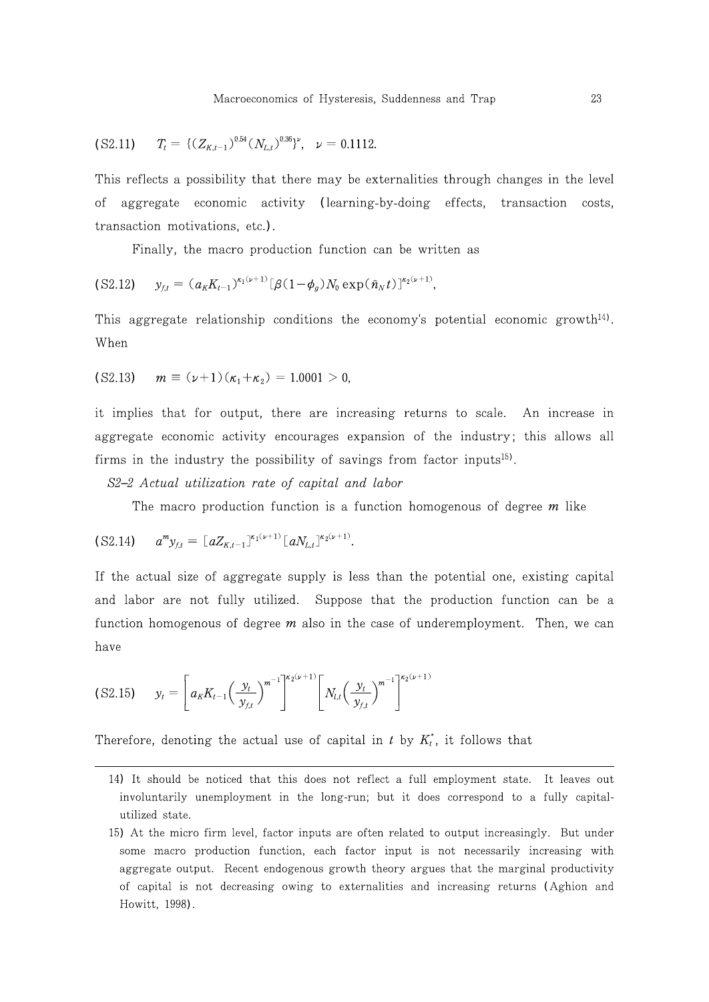(S2.11) 
$$
T_t = \{ (Z_{K,t-1})^{0.54} (N_{L,t})^{0.36} \}^{\nu}, \quad \nu = 0.1112.
$$

This reflects a possibility that there may be externalities through changes in the level aggregate economic activity (learning-by-doing effects, transaction costs, οf transaction motivations, etc.).

Finally, the macro production function can be written as

$$
(S2.12) \t y_{ft} = (a_K K_{t-1})^{\kappa_1(\nu+1)} [\beta (1-\phi_g) N_0 \exp(\tilde{n}_N t)]^{\kappa_2(\nu+1)},
$$

This aggregate relationship conditions the economy's potential economic growth<sup>14</sup>. When

(S2.13) 
$$
m \equiv (\nu + 1)(\kappa_1 + \kappa_2) = 1.0001 > 0,
$$

it implies that for output, there are increasing returns to scale. An increase in aggregate economic activity encourages expansion of the industry; this allows all firms in the industry the possibility of savings from factor inputs<sup>15</sup>.

S2 2 Actual utilization rate of capital and labor

The macro production function is a function homogenous of degree  $m$  like

$$
(S2.14) \t amyf,t = [aZK,t-1]κ1(ν+1) [aNL,t]κ2(ν+1).
$$

If the actual size of aggregate supply is less than the potential one, existing capital and labor are not fully utilized. Suppose that the production function can be a function homogenous of degree  $m$  also in the case of underemployment. Then, we can have

$$
(S2.15) \t y_t = \left[ a_K K_{t-1} \left( \frac{y_t}{y_{f,t}} \right)^{m^{-1}} \right]^{x_2(\nu+1)} \left[ N_{t,t} \left( \frac{y_t}{y_{f,t}} \right)^{m^{-1}} \right]^{x_2(\nu+1)}
$$

Therefore, denoting the actual use of capital in  $t$  by  $K_t^*$ , it follows that

<sup>14)</sup> It should be noticed that this does not reflect a full employment state. It leaves out involuntarily unemployment in the long-run; but it does correspond to a fully capitalutilized state.

<sup>15)</sup> At the micro firm level, factor inputs are often related to output increasingly. But under some macro production function, each factor input is not necessarily increasing with aggregate output. Recent endogenous growth theory argues that the marginal productivity of capital is not decreasing owing to externalities and increasing returns (Aghion and Howitt, 1998).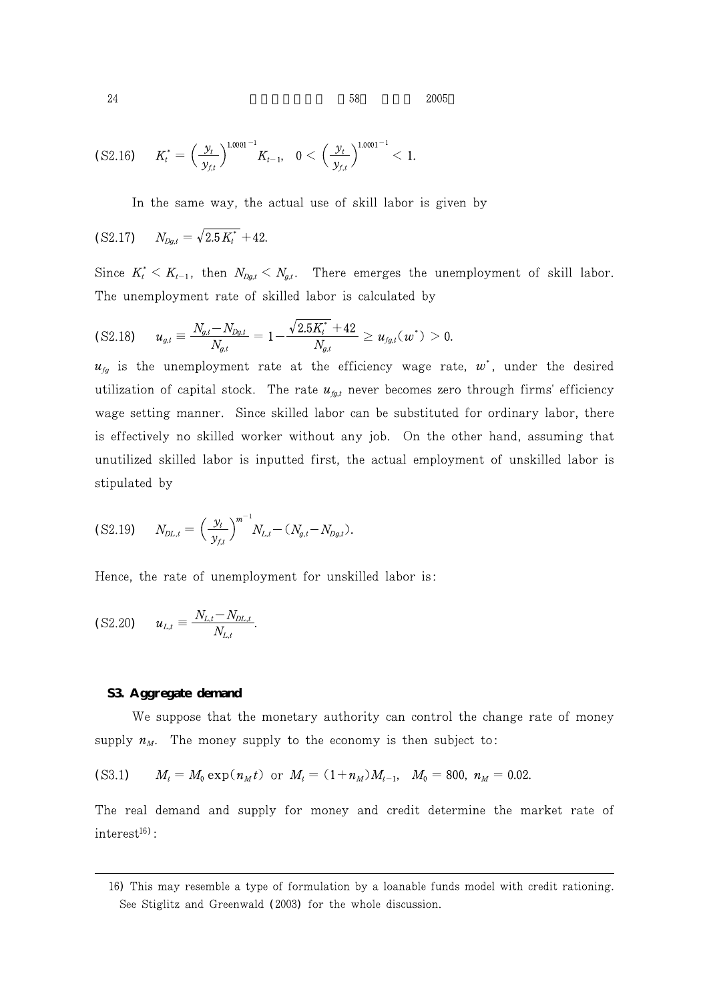$24$  58  $2005$ 

$$
(S2.16) \tK_t^* = \left(\frac{y_t}{y_{f,t}}\right)^{1.0001^{-1}} K_{t-1}, \t0 < \left(\frac{y_t}{y_{f,t}}\right)^{1.0001^{-1}} < 1.
$$

In the same way, the actual use of skill labor is given by

$$
(S2.17) \t N_{Dg,t} = \sqrt{2.5 K_t^*} + 42.
$$

Since  $K_t^* < K_{t-1}$ , then  $N_{Dg,t} < N_{g,t}$ . There emerges the unemployment of skill labor. The unemployment rate of skilled labor is calculated by

$$
\text{(S2.18)} \qquad u_{g,t} \equiv \frac{N_{g,t} - N_{Dg,t}}{N_{g,t}} = 1 - \frac{\sqrt{2.5K_t^*} + 42}{N_{g,t}} \ge u_{fg,t}(w^*) > 0.
$$

 $u_{fg}$  is the unemployment rate at the efficiency wage rate,  $w^*$ , under the desired utilization of capital stock. The rate  $u_{fgt}$  never becomes zero through firms' efficiency wage setting manner. Since skilled labor can be substituted for ordinary labor, there is effectively no skilled worker without any job. On the other hand, assuming that unutilized skilled labor is inputted first, the actual employment of unskilled labor is stipulated by

$$
(S2.19) \t N_{DL,t} = \left(\frac{y_t}{y_{f,t}}\right)^{m^{-1}} N_{L,t} - (N_{g,t} - N_{Dg,t}).
$$

Hence, the rate of unemployment for unskilled labor is:

$$
(S2.20) \t u_{L,t} \equiv \frac{N_{L,t} - N_{DL,t}}{N_{L,t}}.
$$

#### **S3. Aggregate demand**

We suppose that the monetary authority can control the change rate of money supply  $n_M$ . The money supply to the economy is then subject to:

$$
(S3.1) \tMt = M0 \exp(nMt) \t or \tMt = (1+nM)Mt-1, \tM0 = 800, nM = 0.02.
$$

The real demand and supply for money and credit determine the market rate of  $interest<sup>16</sup>$ :

<sup>16)</sup> This may resemble a type of formulation by a loanable funds model with credit rationing. See Stiglitz and Greenwald (2003) for the whole discussion.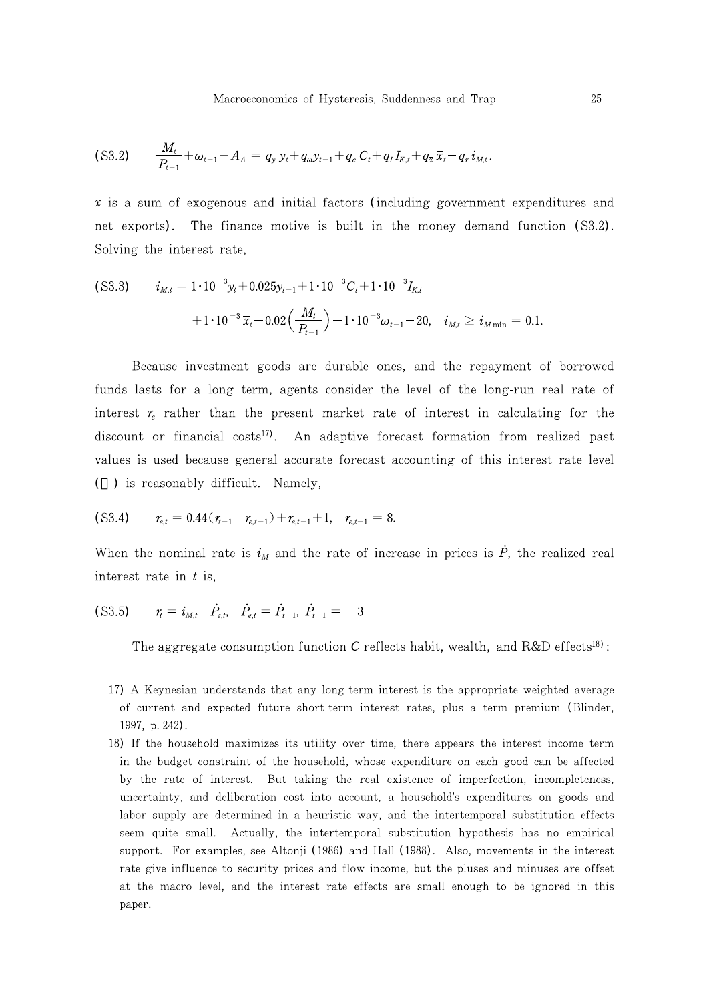$$
\text{(S3.2)} \qquad \frac{M_t}{P_{t-1}} + \omega_{t-1} + A_A = q_y y_t + q_\omega y_{t-1} + q_c C_t + q_t I_{K,t} + q_{\bar{x}} \, \overline{x}_t - q_r \, i_{M,t}.
$$

 $\bar{x}$  is a sum of exogenous and initial factors (including government expenditures and net exports). The finance motive is built in the money demand function (S3.2). Solving the interest rate,

$$
\begin{aligned} \text{(S3.3)} \qquad i_{M,t} &= 1 \cdot 10^{-3} y_t + 0.025 y_{t-1} + 1 \cdot 10^{-3} C_t + 1 \cdot 10^{-3} I_{K,t} \\ &+ 1 \cdot 10^{-3} \, \overline{x}_t - 0.02 \Big( \frac{M_t}{P_{t-1}} \Big) - 1 \cdot 10^{-3} \omega_{t-1} - 20, \quad i_{M,t} \ge i_{M \text{ min}} = 0.1. \end{aligned}
$$

Because investment goods are durable ones, and the repayment of borrowed funds lasts for a long term, agents consider the level of the long-run real rate of interest  $r_e$  rather than the present market rate of interest in calculating for the discount or financial costs<sup>17</sup>. An adaptive forecast formation from realized past values is used because general accurate forecast accounting of this interest rate level () is reasonably difficult. Namely,

(S3.4) 
$$
r_{e,t} = 0.44(r_{t-1} - r_{e,t-1}) + r_{e,t-1} + 1, \quad r_{e,t-1} = 8.
$$

When the nominal rate is  $i_M$  and the rate of increase in prices is P, the realized real interest rate in  $t$  is,

$$
(S3.5) \t\t r_t = i_{M,t} - \dot{P}_{e,t}, \t\t \dot{P}_{e,t} = \dot{P}_{t-1}, \t\t \dot{P}_{t-1} = -3
$$

The aggregate consumption function C reflects habit, wealth, and R&D effects<sup>18</sup>:

<sup>17)</sup> A Keynesian understands that any long-term interest is the appropriate weighted average of current and expected future short-term interest rates, plus a term premium (Blinder, 1997, p. 242).

<sup>18)</sup> If the household maximizes its utility over time, there appears the interest income term in the budget constraint of the household, whose expenditure on each good can be affected by the rate of interest. But taking the real existence of imperfection, incompleteness, uncertainty, and deliberation cost into account, a household's expenditures on goods and labor supply are determined in a heuristic way, and the intertemporal substitution effects seem quite small. Actually, the intertemporal substitution hypothesis has no empirical support. For examples, see Altonji (1986) and Hall (1988). Also, movements in the interest rate give influence to security prices and flow income, but the pluses and minuses are offset at the macro level, and the interest rate effects are small enough to be ignored in this paper.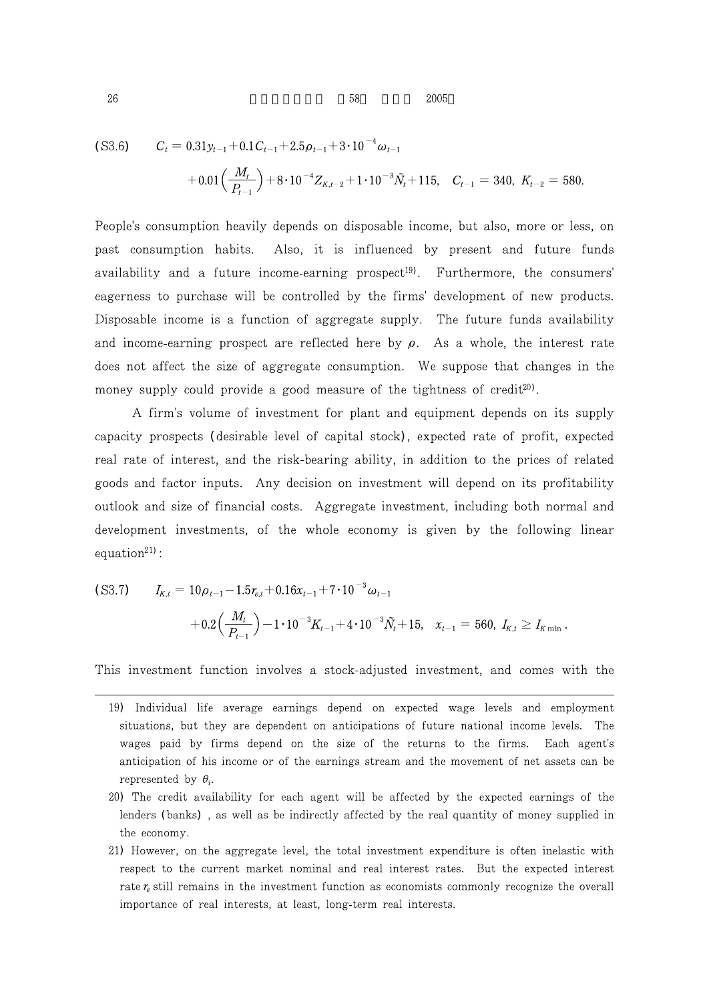$26$  58  $2005$ 

$$
\begin{aligned} \text{(S3.6)} \qquad C_t &= 0.31y_{t-1} + 0.1C_{t-1} + 2.5\rho_{t-1} + 3 \cdot 10^{-4} \omega_{t-1} \\ &+ 0.01 \Big(\frac{M_t}{P_{t-1}}\Big) + 8 \cdot 10^{-4} Z_{K,t-2} + 1 \cdot 10^{-3} \tilde{N}_t + 115, \quad C_{t-1} = 340, \ K_{t-2} = 580. \end{aligned}
$$

People's consumption heavily depends on disposable income, but also, more or less, on past consumption habits. Also, it is influenced by present and future funds availability and a future income-earning prospect<sup>19)</sup>. Furthermore, the consumers' eagerness to purchase will be controlled by the firms' development of new products. Disposable income is a function of aggregate supply. The future funds availability and income-earning prospect are reflected here by  $\rho$ . As a whole, the interest rate does not affect the size of aggregate consumption. We suppose that changes in the money supply could provide a good measure of the tightness of credit<sup>20</sup>.

A firm's volume of investment for plant and equipment depends on its supply capacity prospects (desirable level of capital stock), expected rate of profit, expected real rate of interest, and the risk-bearing ability, in addition to the prices of related goods and factor inputs. Any decision on investment will depend on its profitability outlook and size of financial costs. Aggregate investment, including both normal and development investments, of the whole economy is given by the following linear equation $21$ ):

$$
\begin{aligned} \text{(S3.7)} \qquad I_{K,t} &= 10\rho_{t-1} - 1.5r_{e,t} + 0.16x_{t-1} + 7 \cdot 10^{-3}\omega_{t-1} \\ &+ 0.2\left(\frac{M_t}{P_{t-1}}\right) - 1 \cdot 10^{-3}K_{t-1} + 4 \cdot 10^{-3}\tilde{N}_t + 15, \quad x_{t-1} = 560, \ I_{K,t} \ge I_{K\min} \,. \end{aligned}
$$

This investment function involves a stock-adjusted investment, and comes with the

21) However, on the aggregate level, the total investment expenditure is often inelastic with respect to the current market nominal and real interest rates. But the expected interest rate  $r_e$  still remains in the investment function as economists commonly recognize the overall importance of real interests, at least, long-term real interests.

<sup>19)</sup> Individual life average earnings depend on expected wage levels and employment situations, but they are dependent on anticipations of future national income levels. The wages paid by firms depend on the size of the returns to the firms. Each agent's anticipation of his income or of the earnings stream and the movement of net assets can be represented by  $\theta_i$ .

<sup>20)</sup> The credit availability for each agent will be affected by the expected earnings of the lenders (banks), as well as be indirectly affected by the real quantity of money supplied in the economy.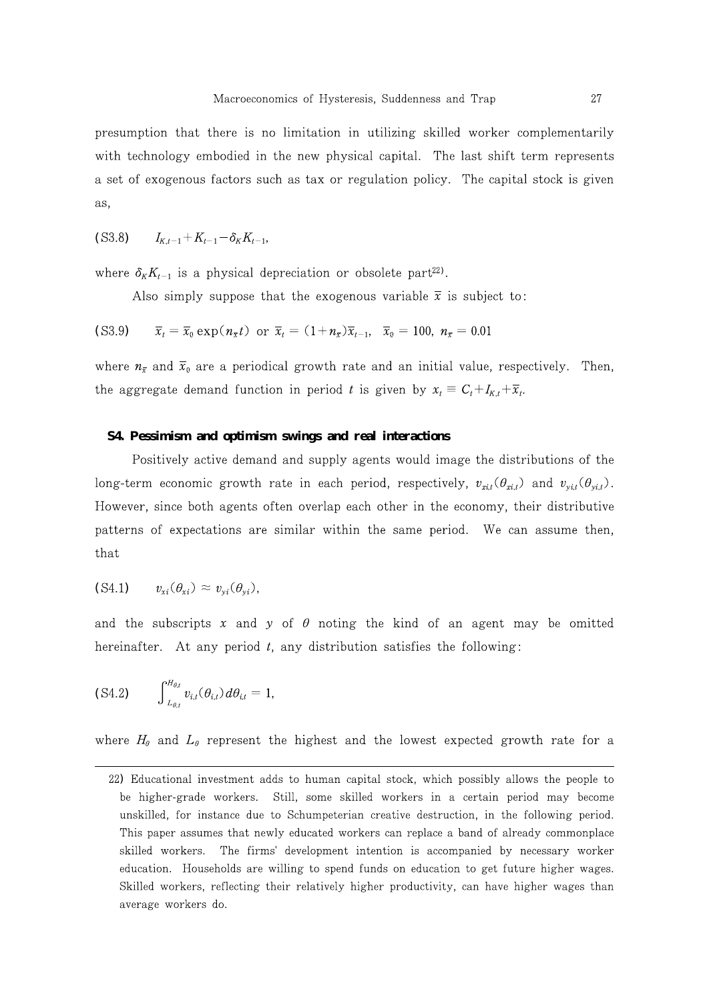presumption that there is no limitation in utilizing skilled worker complementarily with technology embodied in the new physical capital. The last shift term represents a set of exogenous factors such as tax or regulation policy. The capital stock is given as,

$$
(S3.8) \t I_{K,t-1}+K_{t-1}-\delta_K K_{t-1},
$$

where  $\delta_K K_{t-1}$  is a physical depreciation or obsolete part<sup>22</sup>.

Also simply suppose that the exogenous variable  $\bar{x}$  is subject to:

(S3.9) 
$$
\bar{x}_t = \bar{x}_0 \exp(n_{\bar{x}}t)
$$
 or  $\bar{x}_t = (1 + n_{\bar{x}})\bar{x}_{t-1}$ ,  $\bar{x}_0 = 100$ ,  $n_{\bar{x}} = 0.01$ 

where  $n_{\bar{x}}$  and  $\bar{x}_0$  are a periodical growth rate and an initial value, respectively. Then, the aggregate demand function in period t is given by  $x_t = C_t + I_{K,t} + \overline{x}_t$ .

# **S4. Pessimism and optimism swings and real interactions**

Positively active demand and supply agents would image the distributions of the long-term economic growth rate in each period, respectively,  $v_{xi}(\theta_{xi})$  and  $v_{yi}(\theta_{yi})$ . However, since both agents often overlap each other in the economy, their distributive patterns of expectations are similar within the same period. We can assume then, that

$$
(S4.1) \t v_{xi}(\theta_{xi}) \approx v_{yi}(\theta_{yi}),
$$

and the subscripts x and y of  $\theta$  noting the kind of an agent may be omitted hereinafter. At any period  $t$ , any distribution satisfies the following:

$$
\text{(S4.2)} \qquad \int_{L_{\theta,t}}^{H_{\theta,t}} v_{i,t}(\theta_{i,t}) d\theta_{i,t} = 1,
$$

where  $H_{\theta}$  and  $L_{\theta}$  represent the highest and the lowest expected growth rate for a

<sup>22)</sup> Educational investment adds to human capital stock, which possibly allows the people to be higher-grade workers. Still, some skilled workers in a certain period may become unskilled, for instance due to Schumpeterian creative destruction, in the following period. This paper assumes that newly educated workers can replace a band of already commonplace skilled workers. The firms' development intention is accompanied by necessary worker education. Households are willing to spend funds on education to get future higher wages. Skilled workers, reflecting their relatively higher productivity, can have higher wages than average workers do.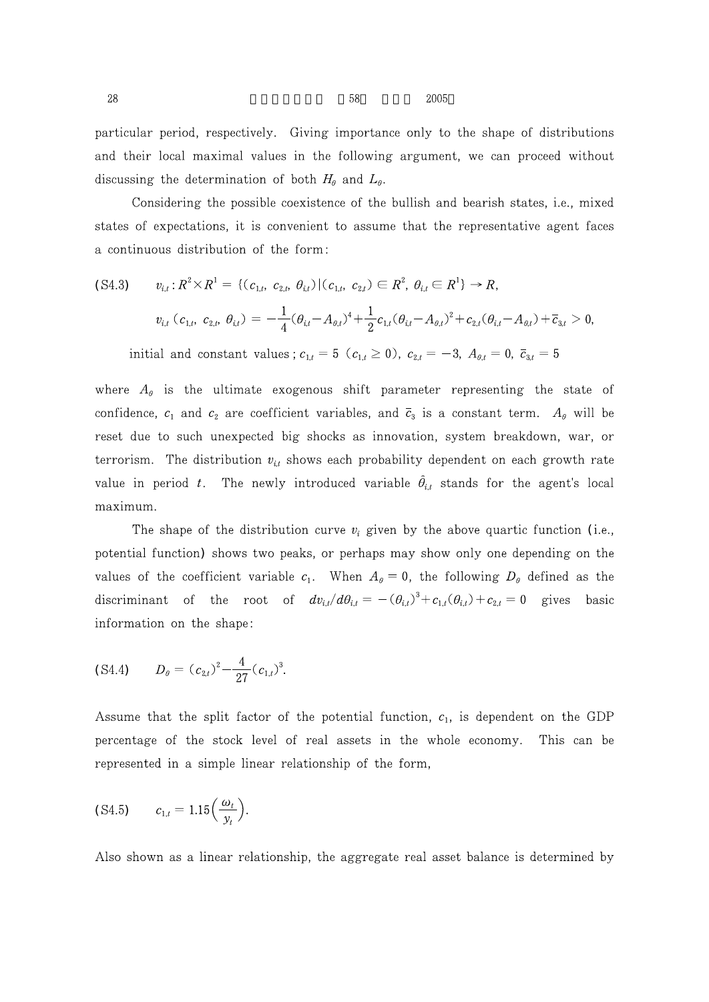$28$  58  $2005$ 

particular period, respectively. Giving importance only to the shape of distributions and their local maximal values in the following argument, we can proceed without discussing the determination of both  $H_{\theta}$  and  $L_{\theta}$ .

Considering the possible coexistence of the bullish and bearish states, i.e., mixed states of expectations, it is convenient to assume that the representative agent faces a continuous distribution of the form:

$$
\begin{aligned} \text{(S4.3)} \qquad v_{i,t} &:\mathbb{R}^2 \times \mathbb{R}^1 = \{ (c_{1,t}, \ c_{2,t}, \ \theta_{i,t}) \, | \, (c_{1,t}, \ c_{2,t}) \in \mathbb{R}^2, \ \theta_{i,t} \in \mathbb{R}^1 \} \to \mathbb{R}, \\ v_{i,t} \, (c_{1,t}, \ c_{2,t}, \ \theta_{i,t}) &= -\frac{1}{4} (\theta_{i,t} - A_{\theta,t})^4 + \frac{1}{2} c_{1,t} (\theta_{i,t} - A_{\theta,t})^2 + c_{2,t} (\theta_{i,t} - A_{\theta,t}) + \overline{c}_{3,t} > 0, \end{aligned}
$$

initial and constant values;  $c_{1,t} = 5$  ( $c_{1,t} \ge 0$ ),  $c_{2,t} = -3$ ,  $A_{\theta,t} = 0$ ,  $\bar{c}_{3,t} = 5$ 

where  $A_{\theta}$  is the ultimate exogenous shift parameter representing the state of confidence,  $c_1$  and  $c_2$  are coefficient variables, and  $\bar{c}_3$  is a constant term.  $A_\theta$  will be reset due to such unexpected big shocks as innovation, system breakdown, war, or terrorism. The distribution  $v_{i,t}$  shows each probability dependent on each growth rate value in period t. The newly introduced variable  $\hat{\theta}_{i,t}$  stands for the agent's local maximum.

The shape of the distribution curve  $v_i$  given by the above quartic function (i.e., potential function) shows two peaks, or perhaps may show only one depending on the values of the coefficient variable  $c_1$ . When  $A_{\theta} = 0$ , the following  $D_{\theta}$  defined as the discriminant of the root of  $dv_{i,l}/d\theta_{i,t} = -(\theta_{i,t})^3 + c_{1,t}(\theta_{i,t}) + c_{2,t} = 0$  gives basic information on the shape:

$$
(S4.4) \t D_{\theta} = (c_{2,t})^2 - \frac{4}{27} (c_{1,t})^3.
$$

Assume that the split factor of the potential function,  $c_1$ , is dependent on the GDP percentage of the stock level of real assets in the whole economy. This can be represented in a simple linear relationship of the form,

$$
(S4.5) \qquad c_{1,t} = 1.15 \Big( \frac{\omega_t}{y_t} \Big).
$$

Also shown as a linear relationship, the aggregate real asset balance is determined by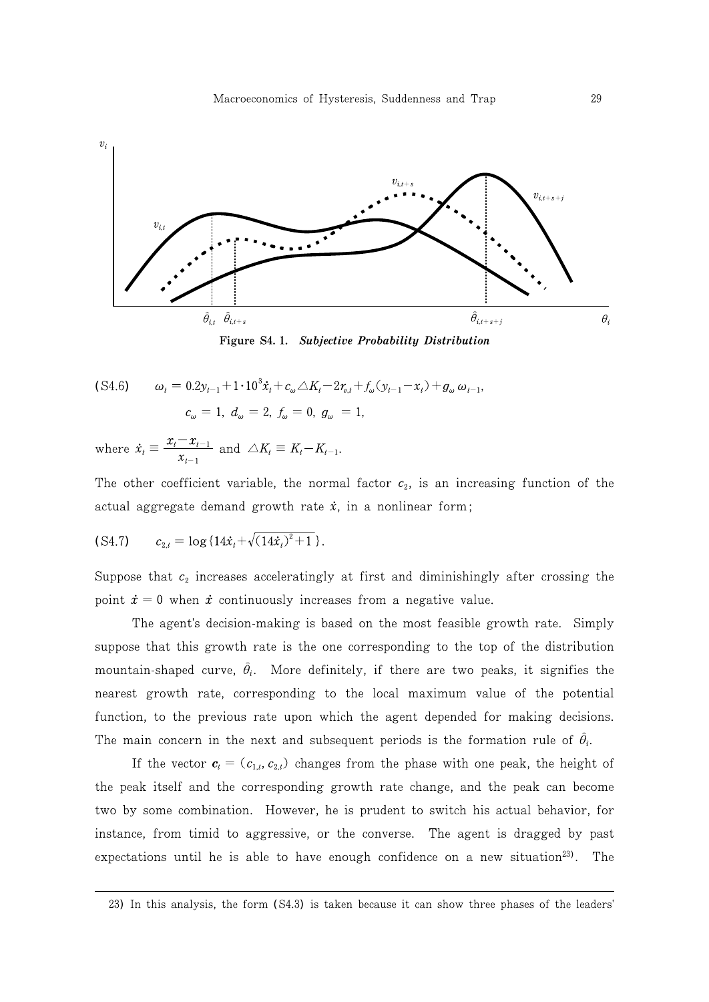

Figure S4.1. Subjective Probability Distribution

(S4.6) 
$$
\omega_t = 0.2y_{t-1} + 1 \cdot 10^3 \dot{x}_t + c_\omega \triangle K_t - 2r_{e,t} + f_\omega(y_{t-1} - x_t) + g_\omega \omega_{t-1},
$$

$$
c_\omega = 1, d_\omega = 2, f_\omega = 0, g_\omega = 1,
$$

where  $\dot{x}_t \equiv \frac{x_t - x_{t-1}}{x_{t-1}}$  and  $\triangle K_t \equiv K_t - K_{t-1}$ .

The other coefficient variable, the normal factor  $c_2$ , is an increasing function of the actual aggregate demand growth rate  $\dot{x}$ , in a nonlinear form;

(S4.7) 
$$
c_{2,t} = \log\left\{14\dot{x}_t + \sqrt{(14\dot{x}_t)^2 + 1}\right\}.
$$

Suppose that  $c_2$  increases acceleratingly at first and diminishingly after crossing the point  $\dot{x} = 0$  when  $\dot{x}$  continuously increases from a negative value.

The agent's decision-making is based on the most feasible growth rate. Simply suppose that this growth rate is the one corresponding to the top of the distribution mountain-shaped curve,  $\hat{\theta}_i$ . More definitely, if there are two peaks, it signifies the nearest growth rate, corresponding to the local maximum value of the potential function, to the previous rate upon which the agent depended for making decisions. The main concern in the next and subsequent periods is the formation rule of  $\hat{\theta}_i$ .

If the vector  $\mathbf{c}_t = (c_{1,t}, c_{2,t})$  changes from the phase with one peak, the height of the peak itself and the corresponding growth rate change, and the peak can become two by some combination. However, he is prudent to switch his actual behavior, for instance, from timid to aggressive, or the converse. The agent is dragged by past expectations until he is able to have enough confidence on a new situation<sup>23</sup>. The

<sup>23)</sup> In this analysis, the form (S4.3) is taken because it can show three phases of the leaders'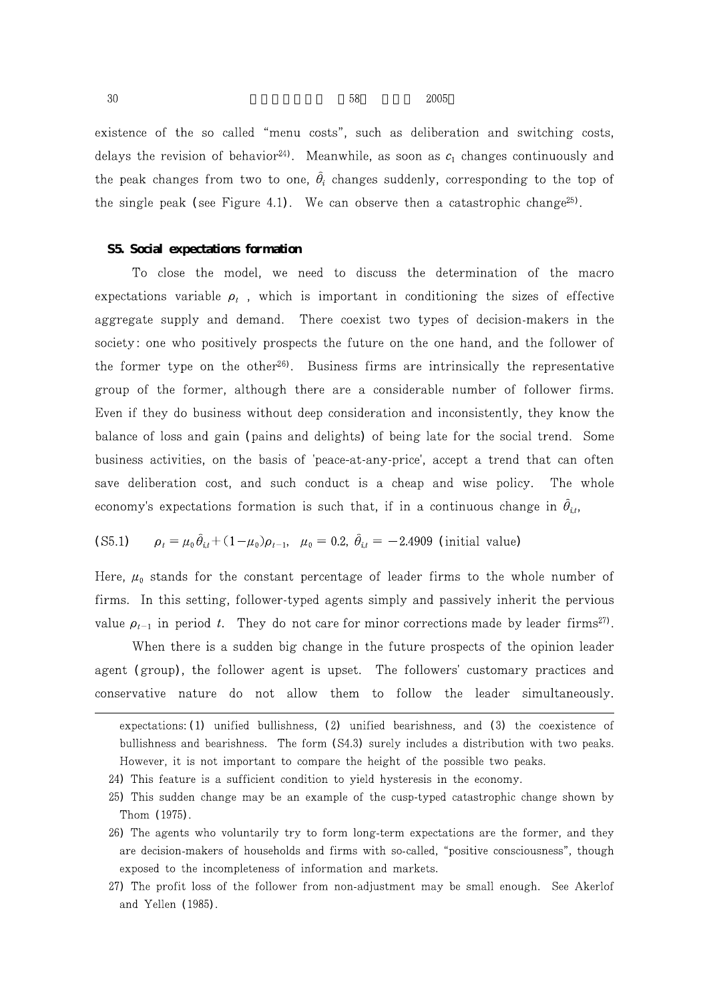$30 \hspace{1.5cm} 58 \hspace{1.5cm} 2005$ 

existence of the so called "menu costs", such as deliberation and switching costs, delays the revision of behavior<sup>24</sup>. Meanwhile, as soon as  $c_1$  changes continuously and the peak changes from two to one,  $\theta_i$  changes suddenly, corresponding to the top of the single peak (see Figure 4.1). We can observe then a catastrophic change<sup>25)</sup>.

#### **S5. Social expectations formation**

To close the model, we need to discuss the determination of the macro expectations variable  $\rho_t$ , which is important in conditioning the sizes of effective aggregate supply and demand. There coexist two types of decision-makers in the society: one who positively prospects the future on the one hand, and the follower of the former type on the other<sup>26</sup>. Business firms are intrinsically the representative group of the former, although there are a considerable number of follower firms. Even if they do business without deep consideration and inconsistently, they know the balance of loss and gain (pains and delights) of being late for the social trend. Some business activities, on the basis of 'peace-at-any-price', accept a trend that can often save deliberation cost, and such conduct is a cheap and wise policy. The whole economy's expectations formation is such that, if in a continuous change in  $\theta_{i,t}$ ,

(S5.1) 
$$
\rho_t = \mu_0 \hat{\theta}_{i,t} + (1 - \mu_0) \rho_{t-1}, \quad \mu_0 = 0.2, \quad \hat{\theta}_{i,t} = -2.4909 \text{ (initial value)}
$$

Here,  $\mu_0$  stands for the constant percentage of leader firms to the whole number of firms. In this setting, follower-typed agents simply and passively inherit the pervious value  $\rho_{t-1}$  in period t. They do not care for minor corrections made by leader firms<sup>27</sup>.

When there is a sudden big change in the future prospects of the opinion leader agent (group), the follower agent is upset. The followers' customary practices and conservative nature do not allow them to follow the leader simultaneously.

expectations:  $(1)$  unified bullishness,  $(2)$  unified bearishness, and  $(3)$  the coexistence of bullishness and bearishness. The form (S4.3) surely includes a distribution with two peaks. However, it is not important to compare the height of the possible two peaks.

<sup>24)</sup> This feature is a sufficient condition to yield hysteresis in the economy.

<sup>25)</sup> This sudden change may be an example of the cusp-typed catastrophic change shown by Thom (1975).

<sup>26)</sup> The agents who voluntarily try to form long-term expectations are the former, and they are decision-makers of households and firms with so-called, "positive consciousness", though exposed to the incompleteness of information and markets.

<sup>27)</sup> The profit loss of the follower from non-adjustment may be small enough. See Akerlof and Yellen (1985).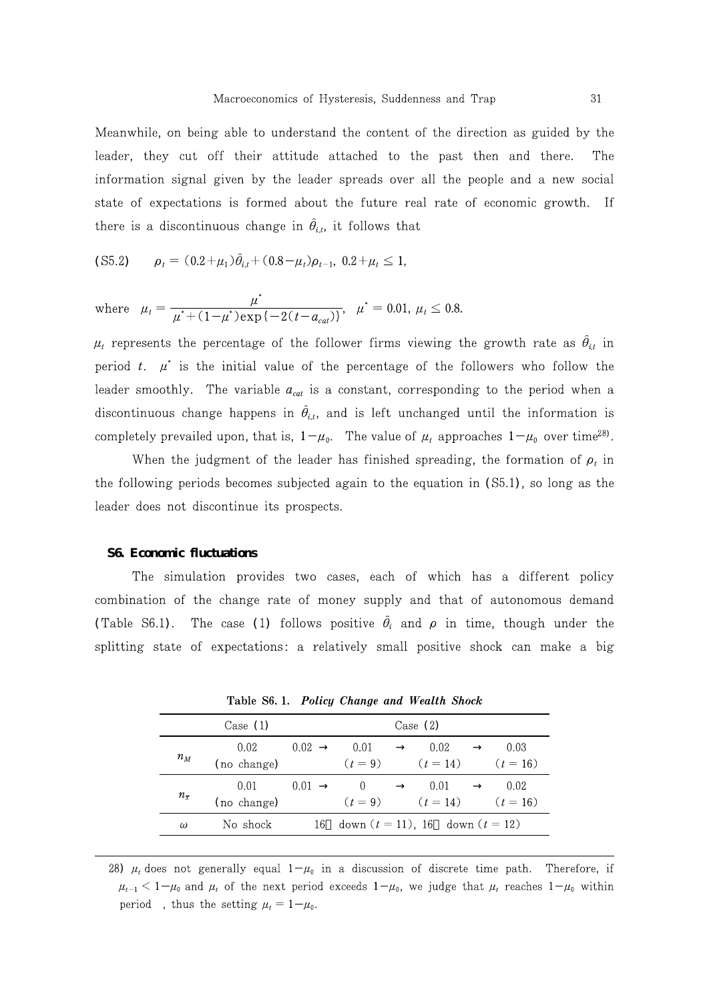Meanwhile, on being able to understand the content of the direction as guided by the leader, they cut off their attitude attached to the past then and there. The information signal given by the leader spreads over all the people and a new social state of expectations is formed about the future real rate of economic growth. If there is a discontinuous change in  $\hat{\theta}_{i,t}$ , it follows that

$$
(S5.2) \qquad \rho_t = (0.2 + \mu_1)\hat{\theta}_{i,t} + (0.8 - \mu_t)\rho_{t-1}, \ 0.2 + \mu_t \le 1,
$$

where 
$$
\mu_t = \frac{\mu^*}{\mu^* + (1 - \mu^*) \exp\{-2(t - a_{cat})\}}, \quad \mu^* = 0.01, \mu_t \le 0.8.
$$

 $\mu_t$  represents the percentage of the follower firms viewing the growth rate as  $\theta_{i,t}$  in period t.  $\mu^*$  is the initial value of the percentage of the followers who follow the leader smoothly. The variable  $a_{cat}$  is a constant, corresponding to the period when a discontinuous change happens in  $\ddot{\theta}_{i,t}$ , and is left unchanged until the information is completely prevailed upon, that is,  $1-\mu_0$ . The value of  $\mu_t$  approaches  $1-\mu_0$  over time<sup>28</sup>.

When the judgment of the leader has finished spreading, the formation of  $\rho_t$  in the following periods becomes subjected again to the equation in  $(S5.1)$ , so long as the leader does not discontinue its prospects.

#### **S6. Economic fluctuations**

The simulation provides two cases, each of which has a different policy combination of the change rate of money supply and that of autonomous demand (Table S6.1). The case (1) follows positive  $\hat{\theta}_i$  and  $\rho$  in time, though under the splitting state of expectations: a relatively small positive shock can make a big

|                    | Case (1)    |      | Case $(2)$ |                                      |            |
|--------------------|-------------|------|------------|--------------------------------------|------------|
| $n_M$              | 0.02        | 0.02 | 0.01       | 0.02                                 | 0.03       |
|                    | (no change) |      | $(t = 9)$  | $(t = 14)$                           | $(t = 16)$ |
| $n_{\overline{x}}$ | 0.01        | 0.01 |            | 0.01                                 | 0.02       |
|                    | (no change) |      | $(t = 9)$  | $(t = 14)$                           | $(t = 16)$ |
| $\omega$           | No shock    | 16.  |            | down $(t = 11)$ , 16 down $(t = 12)$ |            |
|                    |             |      |            |                                      |            |

Table S6.1. Policy Change and Wealth Shock

28)  $\mu_t$  does not generally equal  $1-\mu_0$  in a discussion of discrete time path. Therefore, if  $\mu_{t-1}$  < 1- $\mu_0$  and  $\mu_t$  of the next period exceeds 1- $\mu_0$ , we judge that  $\mu_t$  reaches 1- $\mu_0$  within period, thus the setting  $\mu_t = 1 - \mu_0$ .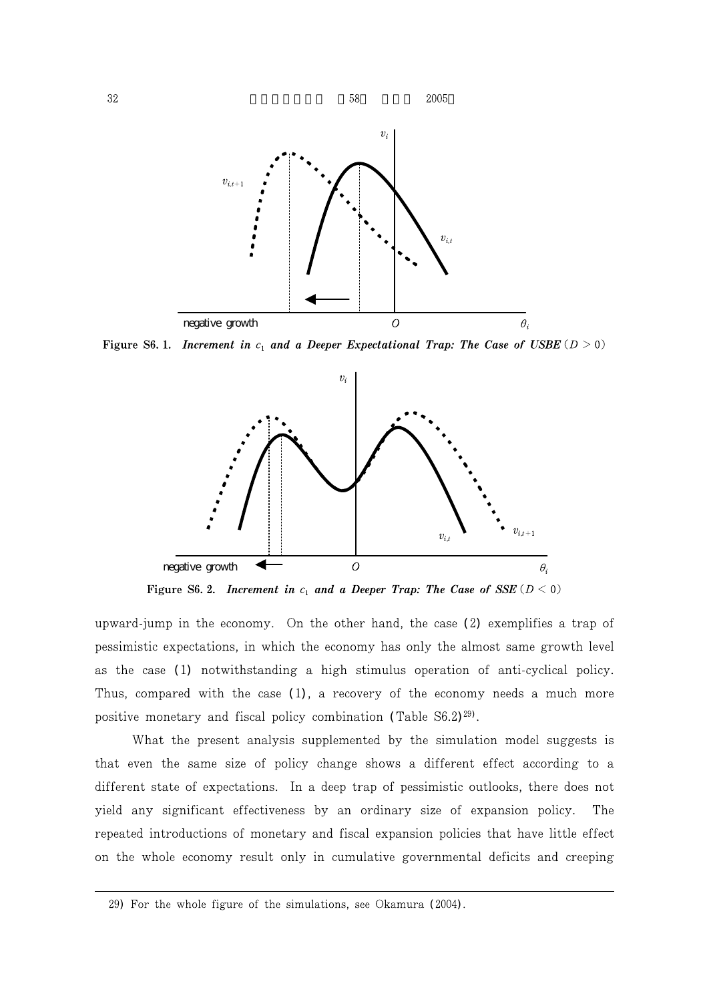

Figure S6.1. Increment in  $c_1$  and a Deeper Expectational Trap: The Case of USBE ( $D > 0$ )



Figure S6. 2. Increment in  $c_1$  and a Deeper Trap: The Case of SSE ( $D < 0$ )

upward-jump in the economy. On the other hand, the case  $(2)$  exemplifies a trap of pessimistic expectations, in which the economy has only the almost same growth level as the case (1) notwithstanding a high stimulus operation of anti-cyclical policy. Thus, compared with the case  $(1)$ , a recovery of the economy needs a much more positive monetary and fiscal policy combination (Table S6.2)<sup>29)</sup>.

What the present analysis supplemented by the simulation model suggests is that even the same size of policy change shows a different effect according to a different state of expectations. In a deep trap of pessimistic outlooks, there does not yield any significant effectiveness by an ordinary size of expansion policy. The repeated introductions of monetary and fiscal expansion policies that have little effect on the whole economy result only in cumulative governmental deficits and creeping

<sup>29)</sup> For the whole figure of the simulations, see Okamura (2004).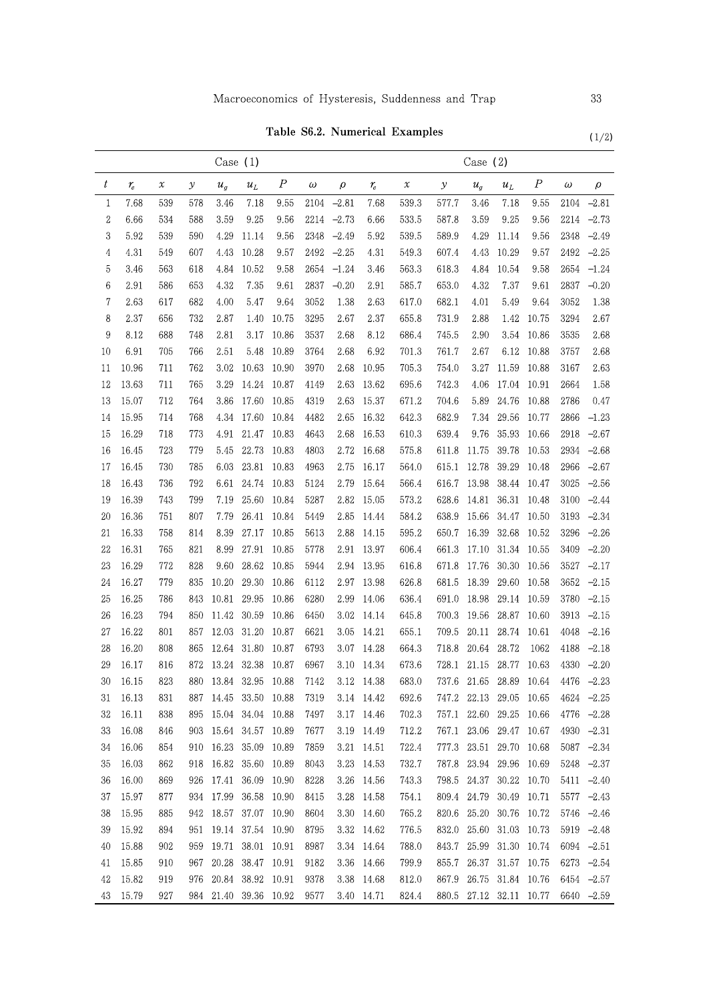$(1/2)$ 

# Table S6.2. Numerical Examples

|                  | Case $(1)$ |     |               |                       |                   |                  |          | Case $(2)$ |            |                            |               |       |                         |                  |          |      |
|------------------|------------|-----|---------------|-----------------------|-------------------|------------------|----------|------------|------------|----------------------------|---------------|-------|-------------------------|------------------|----------|------|
| $\boldsymbol{t}$ | $r_{\!e}$  | х   | $\mathcal{Y}$ | $u_g$                 | $u_L$             | $\boldsymbol{P}$ | $\omega$ | ρ          | $r_e$      | $\boldsymbol{\mathcal{X}}$ | $\mathcal{Y}$ | $u_g$ | $u_L$                   | $\boldsymbol{P}$ | $\omega$ | ρ    |
| 1                | 7.68       | 539 | 578           | 3.46                  | 7.18              | 9.55             | 2104     | 2.81       | 7.68       | 539.3                      | 577.7         | 3.46  | 7.18                    | 9.55             | 2104     | 2.81 |
| $\boldsymbol{2}$ | 6.66       | 534 | 588           | 3.59                  | 9.25              | 9.56             | 2214     | 2.73       | 6.66       | 533.5                      | 587.8         | 3.59  | 9.25                    | 9.56             | 2214     | 2.73 |
| 3                | 5.92       | 539 | 590           | 4.29                  | 11.14             | 9.56             | 2348     | 2.49       | 5.92       | 539.5                      | 589.9         | 4.29  | 11.14                   | 9.56             | 2348     | 2.49 |
| $\overline{4}$   | 4.31       | 549 | 607           | 4.43                  | 10.28             | 9.57             | 2492     | 2.25       | 4.31       | 549.3                      | 607.4         | 4.43  | 10.29                   | 9.57             | 2492     | 2.25 |
| 5                | 3.46       | 563 | 618           | 4.84                  | 10.52             | 9.58             | 2654     | 1.24       | 3.46       | 563.3                      | 618.3         | 4.84  | 10.54                   | 9.58             | 2654     | 1.24 |
| 6                | 2.91       | 586 | 653           | 4.32                  | 7.35              | 9.61             | 2837     | 0.20       | 2.91       | 585.7                      | 653.0         | 4.32  | 7.37                    | 9.61             | 2837     | 0.20 |
| 7                | 2.63       | 617 | 682           | 4.00                  | 5.47              | 9.64             | 3052     | 1.38       | 2.63       | 617.0                      | 682.1         | 4.01  | 5.49                    | 9.64             | 3052     | 1.38 |
| 8                | 2.37       | 656 | 732           | 2.87                  | 1.40              | 10.75            | 3295     | 2.67       | 2.37       | 655.8                      | 731.9         | 2.88  | 1.42                    | 10.75            | 3294     | 2.67 |
| 9                | 8.12       | 688 | 748           | 2.81                  | 3.17              | 10.86            | 3537     | 2.68       | 8.12       | 686.4                      | 745.5         | 2.90  | 3.54                    | 10.86            | 3535     | 2.68 |
| 10               | 6.91       | 705 | 766           | 2.51                  | 5.48              | 10.89            | 3764     | 2.68       | 6.92       | 701.3                      | 761.7         | 2.67  | 6.12                    | 10.88            | 3757     | 2.68 |
| 11               | 10.96      | 711 | 762           | 3.02                  | 10.63             | 10.90            | 3970     | 2.68       | 10.95      | 705.3                      | 754.0         | 3.27  | 11.59                   | 10.88            | 3167     | 2.63 |
| 12               | 13.63      | 711 | 765           | 3.29                  | 14.24             | 10.87            | 4149     | 2.63       | 13.62      | 695.6                      | 742.3         | 4.06  | 17.04                   | 10.91            | 2664     | 1.58 |
| 13               | 15.07      | 712 | 764           | 3.86                  | 17.60             | 10.85            | 4319     | 2.63       | 15.37      | 671.2                      | 704.6         | 5.89  | 24.76                   | 10.88            | 2786     | 0.47 |
| 14               | 15.95      | 714 | 768           | 4.34                  | 17.60             | 10.84            | 4482     | 2.65       | 16.32      | 642.3                      | 682.9         | 7.34  | 29.56                   | 10.77            | 2866     | 1.23 |
| 15               | 16.29      | 718 | 773           | 4.91                  | 21.47             | 10.83            | 4643     | 2.68       | 16.53      | 610.3                      | 639.4         | 9.76  | 35.93                   | 10.66            | 2918     | 2.67 |
| 16               | 16.45      | 723 | 779           | 5.45                  | 22.73             | 10.83            | 4803     | 2.72       | 16.68      | 575.8                      | 611.8         | 11.75 | 39.78                   | 10.53            | 2934     | 2.68 |
| 17               | 16.45      | 730 | 785           | 6.03                  | 23.81             | 10.83            | 4963     | 2.75       | 16.17      | 564.0                      | 615.1         | 12.78 | 39.29                   | 10.48            | 2966     | 2.67 |
| 18               | 16.43      | 736 | 792           | 6.61                  | 24.74             | 10.83            | 5124     | 2.79       | 15.64      | 566.4                      | 616.7         | 13.98 | 38.44                   | 10.47            | 3025     | 2.56 |
| 19               | 16.39      | 743 | 799           | 7.19                  | 25.60             | 10.84            | 5287     | 2.82       | 15.05      | 573.2                      | 628.6         | 14.81 | 36.31                   | 10.48            | 3100     | 2.44 |
| 20               | 16.36      | 751 | 807           | 7.79                  | 26.41             | 10.84            | 5449     | 2.85       | 14.44      | 584.2                      | 638.9         | 15.66 | 34.47                   | 10.50            | 3193     | 2.34 |
| 21               | 16.33      | 758 | 814           | 8.39                  | 27.17             | 10.85            | 5613     | 2.88       | 14.15      | 595.2                      | 650.7         | 16.39 | 32.68                   | 10.52            | 3296     | 2.26 |
| 22               | 16.31      | 765 | 821           | 8.99                  | 27.91             | 10.85            | 5778     | 2.91       | 13.97      | 606.4                      | 661.3         | 17.10 | 31.34                   | 10.55            | 3409     | 2.20 |
| 23               | 16.29      | 772 | 828           | 9.60                  | 28.62             | 10.85            | 5944     | 2.94       | 13.95      | 616.8                      | 671.8         | 17.76 | 30.30                   | 10.56            | 3527     | 2.17 |
| 24               | 16.27      | 779 | 835           | 10.20                 | 29.30             | 10.86            | 6112     | 2.97       | 13.98      | 626.8                      | 681.5         | 18.39 | 29.60                   | 10.58            | 3652     | 2.15 |
| 25               | 16.25      | 786 | 843           | 10.81                 | 29.95             | 10.86            | 6280     | 2.99       | 14.06      | 636.4                      | 691.0         | 18.98 | 29.14                   | 10.59            | 3780     | 2.15 |
| 26               | 16.23      | 794 | 850           | 11.42                 | 30.59             | 10.86            | 6450     | 3.02       | 14.14      | 645.8                      | 700.3         | 19.56 | 28.87                   | 10.60            | 3913     | 2.15 |
| 27               | 16.22      | 801 | 857           | 12.03                 | 31.20             | 10.87            | 6621     | 3.05       | 14.21      | 655.1                      | 709.5         | 20.11 | 28.74                   | 10.61            | 4048     | 2.16 |
| 28               | 16.20      | 808 | 865           | 12.64                 | 31.80             | 10.87            | 6793     | 3.07       | 14.28      | 664.3                      | 718.8         | 20.64 | 28.72                   | 1062             | 4188     | 2.18 |
| 29               | 16.17      | 816 | 872           | 13.24                 | 32.38             | 10.87            | 6967     | 3.10       | 14.34      | 673.6                      | 728.1         | 21.15 | 28.77                   | 10.63            | 4330     | 2.20 |
| 30               | 16.15      | 823 | 880           | 13.84                 | 32.95             | 10.88            | 7142     | 3.12       | 14.38      | 683.0                      | 737.6         | 21.65 | 28.89                   | 10.64            | 4476     | 2.23 |
| 31               | 16.13      | 831 | 887           | 14.45                 | 33.50             | 10.88            | 7319     | 3.14       | 14.42      | 692.6                      | 747.2         | 22.13 | 29.05                   | 10.65            | 4624     | 2.25 |
| 32               | 16.11      | 838 | 895           | 15.04                 | 34.04             | 10.88            | 7497     | 3.17       | 14.46      | 702.3                      | 757.1         | 22.60 | 29.25                   | 10.66            | 4776     | 2.28 |
| 33               | 16.08      | 846 | 903           | 15.64                 | 34.57             | 10.89            | 7677     | 3.19       | 14.49      | 712.2                      | 767.1         | 23.06 | 29.47                   | 10.67            | 4930     | 2.31 |
| 34               | 16.06      | 854 | 910           | 16.23                 | 35.09             | 10.89            | 7859     | 3.21       | 14.51      | 722.4                      | 777.3         | 23.51 | 29.70                   | 10.68            | 5087     | 2.34 |
| 35               | 16.03      | 862 | 918           | 16.82                 | 35.60             | 10.89            | 8043     | 3.23       | 14.53      | 732.7                      | 787.8         | 23.94 | 29.96                   | 10.69            | 5248     | 2.37 |
| 36               | 16.00      | 869 |               | 926 17.41 36.09 10.90 |                   |                  | 8228     |            | 3.26 14.56 | 743.3                      |               |       | 798.5 24.37 30.22 10.70 |                  | 5411     | 2.40 |
| 37               | 15.97      | 877 | 934           |                       | 17.99 36.58       | 10.90            | 8415     | $3.28\,$   | 14.58      | 754.1                      | 809.4         | 24.79 | 30.49                   | 10.71            | 5577     | 2.43 |
| 38               | 15.95      | 885 | 942           |                       | 18.57 37.07 10.90 |                  | 8604     | $3.30\,$   | 14.60      | 765.2                      | 820.6         |       | 25.20 30.76             | 10.72            | 5746     | 2.46 |
| 39               | 15.92      | 894 | 951           |                       | 19.14 37.54 10.90 |                  | 8795     |            | 3.32 14.62 | 776.5                      | 832.0         |       | 25.60 31.03             | 10.73            | 5919     | 2.48 |
| 40               | 15.88      | 902 | 959           |                       | 19.71 38.01       | 10.91            | 8987     |            | 3.34 14.64 | 788.0                      | 843.7         |       | 25.99 31.30             | 10.74            | 6094     | 2.51 |
| 41               | 15.85      | 910 | 967           | 20.28                 | 38.47             | 10.91            | 9182     |            | 3.36 14.66 | 799.9                      | 855.7         |       | 26.37 31.57 10.75       |                  | 6273     | 2.54 |
| 42               | 15.82      | 919 | 976           | 20.84                 | 38.92 10.91       |                  | 9378     |            | 3.38 14.68 | 812.0                      | 867.9         |       | 26.75 31.84             | 10.76            | 6454     | 2.57 |
| 43               | 15.79      | 927 | 984           |                       | 21.40 39.36 10.92 |                  | 9577     |            | 3.40 14.71 | 824.4                      |               |       | 880.5 27.12 32.11 10.77 |                  | 6640     | 2.59 |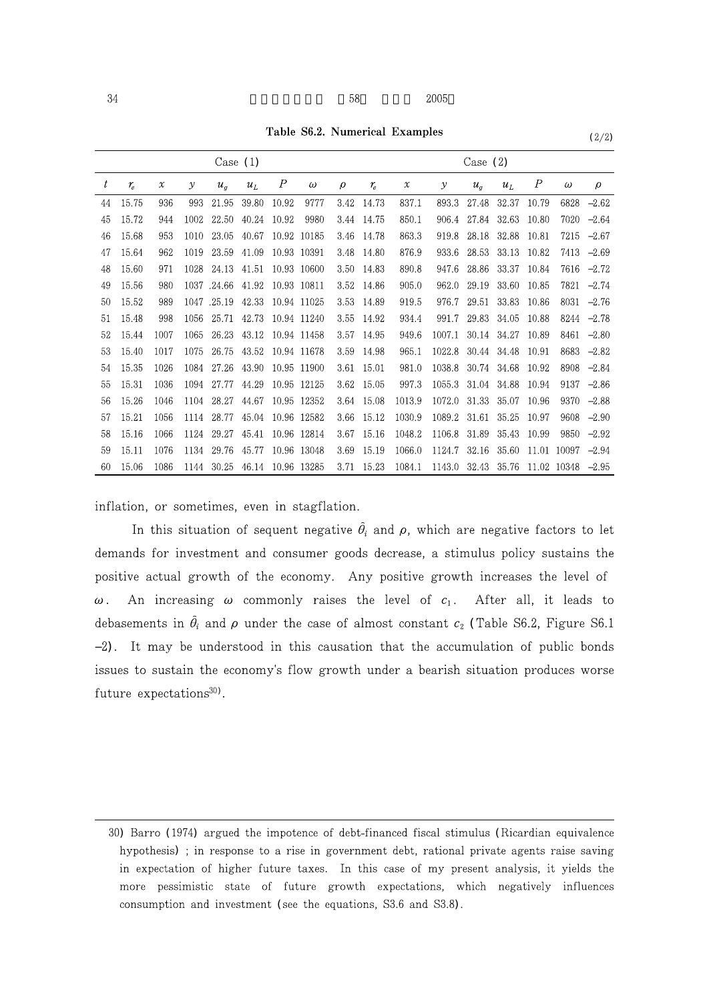Table S6.2. Numerical Examples  $(2/2)$ 

| Case $(1)$ |             |                            |      |              |       |       |             | Case $(2)$ |             |                            |               |       |       |                  |          |        |
|------------|-------------|----------------------------|------|--------------|-------|-------|-------------|------------|-------------|----------------------------|---------------|-------|-------|------------------|----------|--------|
| t          | $r_{\rm c}$ | $\boldsymbol{\mathcal{X}}$ | У    | $u_{\sigma}$ | $u_L$ | Р     | $\omega$    | $\rho$     | $r_{\rm e}$ | $\boldsymbol{\mathcal{X}}$ | $\mathcal{Y}$ | $u_a$ | $u_L$ | $\boldsymbol{P}$ | $\omega$ | $\rho$ |
| 44         | 15.75       | 936                        | 993  | 21.95        | 39.80 | 10.92 | 9777        | 3.42       | 14.73       | 837.1                      | 893.3         | 27.48 | 32.37 | 10.79            | 6828     | 2.62   |
| 45         | 15.72       | 944                        | 1002 | 22.50        | 40.24 | 10.92 | 9980        | 3.44       | 14.75       | 850.1                      | 906.4         | 27.84 | 32.63 | 10.80            | 7020     | 2.64   |
| 46         | 15.68       | 953                        | 1010 | 23.05        | 40.67 |       | 10.92 10185 | 3.46       | 14.78       | 863.3                      | 919.8         | 28.18 | 32.88 | 10.81            | 7215     | 2.67   |
| 47         | 15.64       | 962                        | 1019 | 23.59        | 41.09 |       | 10.93 10391 | 3.48       | 14.80       | 876.9                      | 933.6         | 28.53 | 33.13 | 10.82            | 7413     | 2.69   |
| 48         | 15.60       | 971                        | 1028 | 24.13        | 41.51 |       | 10.93 10600 | 3.50       | 14.83       | 890.8                      | 947.6         | 28.86 | 33.37 | 10.84            | 7616     | 2.72   |
| 49         | 15.56       | 980                        | 1037 | .24.66       | 41.92 |       | 10.93 10811 | 3.52       | 14.86       | 905.0                      | 962.0         | 29.19 | 33.60 | 10.85            | 7821     | 2.74   |
| 50         | 15.52       | 989                        | 1047 | .25.19       | 42.33 |       | 10.94 11025 | 3.53       | 14.89       | 919.5                      | 976.7         | 29.51 | 33.83 | 10.86            | 8031     | 2.76   |
| 51         | 15.48       | 998                        | 1056 | 25.71        | 42.73 |       | 10.94 11240 | 3.55       | 14.92       | 934.4                      | 991.7         | 29.83 | 34.05 | 10.88            | 8244     | 2.78   |
| 52         | 15.44       | 1007                       | 1065 | 26.23        | 43.12 |       | 10.94 11458 | 3.57       | 14.95       | 949.6                      | 1007.1        | 30.14 | 34.27 | 10.89            | 8461     | 2.80   |
| 53         | 15.40       | 1017                       | 1075 | 26.75        | 43.52 |       | 10.94 11678 | 3.59       | 14.98       | 965.1                      | 1022.8        | 30.44 | 34.48 | 10.91            | 8683     | 2.82   |
| 54         | 15.35       | 1026                       | 1084 | 27.26        | 43.90 |       | 10.95 11900 | 3.61       | 15.01       | 981.0                      | 1038.8        | 30.74 | 34.68 | 10.92            | 8908     | 2.84   |
| 55         | 15.31       | 1036                       | 1094 | 27.77        | 44.29 |       | 10.95 12125 | 3.62       | 15.05       | 997.3                      | 1055.3        | 31.04 | 34.88 | 10.94            | 9137     | 2.86   |
| 56         | 15.26       | 1046                       | 1104 | 28.27        | 44.67 |       | 10.95 12352 | 3.64       | 15.08       | 1013.9                     | 1072.0        | 31.33 | 35.07 | 10.96            | 9370     | 2.88   |
| 57         | 15.21       | 1056                       | 1114 | 28.77        | 45.04 |       | 10.96 12582 | 3.66       | 15.12       | 1030.9                     | 1089.2        | 31.61 | 35.25 | 10.97            | 9608     | 2.90   |
| 58         | 15.16       | 1066                       | 1124 | 29.27        | 45.41 |       | 10.96 12814 | 3.67       | 15.16       | 1048.2                     | 1106.8        | 31.89 | 35.43 | 10.99            | 9850     | 2.92   |
| 59         | 15.11       | 1076                       | 1134 | 29.76        | 45.77 |       | 10.96 13048 | 3.69       | 15.19       | 1066.0                     | 1124.7        | 32.16 | 35.60 | 11.01            | 10097    | 2.94   |
| 60         | 15.06       | 1086                       | 1144 | 30.25        | 46.14 |       | 10.96 13285 | 3.71       | 15.23       | 1084.1                     | 1143.0        | 32.43 | 35.76 | 11.02            | 10348    | 2.95   |

inflation, or sometimes, even in stagflation.

In this situation of sequent negative  $\hat{\theta}_i$  and  $\rho$ , which are negative factors to let demands for investment and consumer goods decrease, a stimulus policy sustains the positive actual growth of the economy. Any positive growth increases the level of ω. An increasing ω commonly raises the level of  $c_1$ . After all, it leads to debasements in  $\hat{\theta}_i$  and  $\rho$  under the case of almost constant  $c_2$  (Table S6.2, Figure S6.1 2). It may be understood in this causation that the accumulation of public bonds issues to sustain the economy's flow growth under a bearish situation produces worse future expectations $^{30}$ .

<sup>30)</sup> Barro (1974) argued the impotence of debt-financed fiscal stimulus (Ricardian equivalence hypothesis) ; in response to a rise in government debt, rational private agents raise saving in expectation of higher future taxes. In this case of my present analysis, it yields the more pessimistic state of future growth expectations, which negatively influences consumption and investment (see the equations, S3.6 and S3.8).